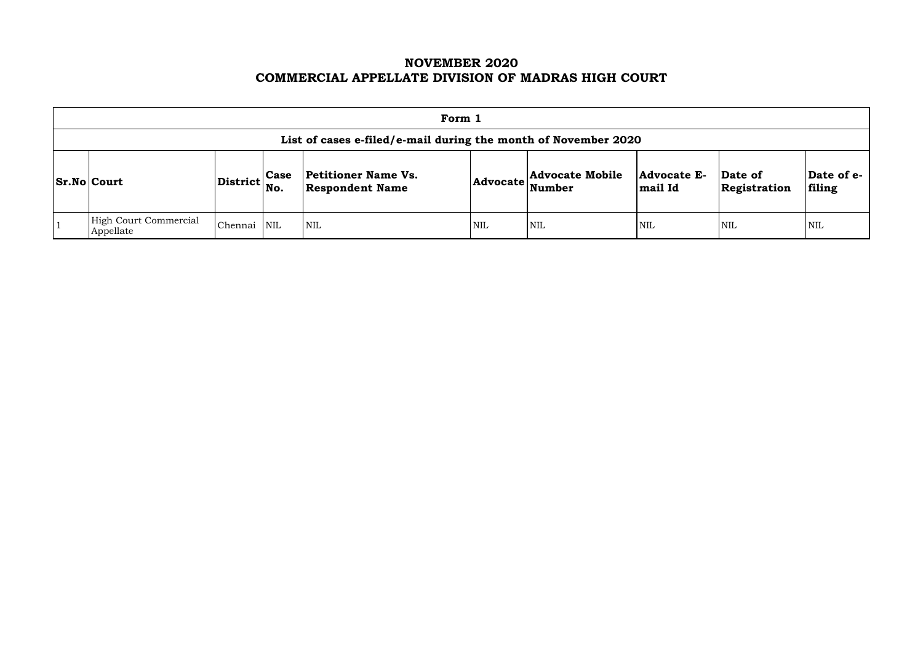# **NOVEMBER 2020 COMMERCIAL APPELLATE DIVISION OF MADRAS HIGH COURT**

| Form 1                                                         |                                   |             |                                                                                                              |                               |                         |                      |            |            |  |  |  |
|----------------------------------------------------------------|-----------------------------------|-------------|--------------------------------------------------------------------------------------------------------------|-------------------------------|-------------------------|----------------------|------------|------------|--|--|--|
| List of cases e-filed/e-mail during the month of November 2020 |                                   |             |                                                                                                              |                               |                         |                      |            |            |  |  |  |
| <b>Sr.No Court</b>                                             | $ {\rm District} {\rm \Big }$ No. | <b>Case</b> | <b>Petitioner Name Vs.</b><br>$ {\bf Advocate}\left \sum_{\textbf{Number}}\right $<br><b>Respondent Name</b> | <b>Advocate E-</b><br>mail Id | Date of<br>Registration | Date of e-<br>filing |            |            |  |  |  |
| High Court Commercial<br>Appellate                             | Chennai                           | NIL         | $\mathsf{NIL}$                                                                                               | <b>NIL</b>                    | <b>NIL</b>              | <b>NIL</b>           | <b>NIL</b> | <b>NIL</b> |  |  |  |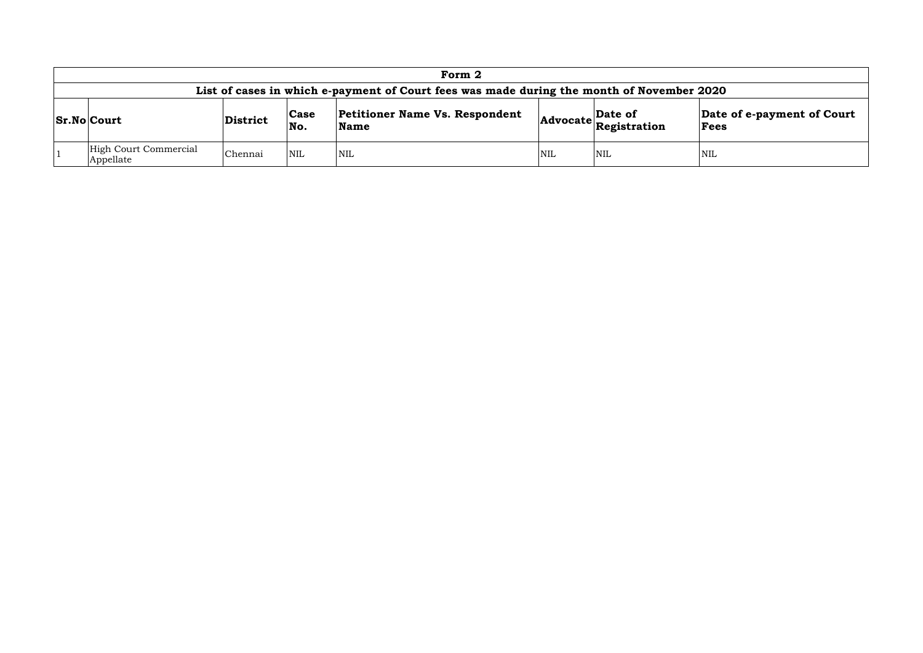|                                                                                                                                                                                                          | Form 2                                                                                    |         |                         |                  |            |            |            |  |  |  |  |  |  |
|----------------------------------------------------------------------------------------------------------------------------------------------------------------------------------------------------------|-------------------------------------------------------------------------------------------|---------|-------------------------|------------------|------------|------------|------------|--|--|--|--|--|--|
|                                                                                                                                                                                                          | List of cases in which e-payment of Court fees was made during the month of November 2020 |         |                         |                  |            |            |            |  |  |  |  |  |  |
| <b>Petitioner Name Vs. Respondent</b><br>Date of e-payment of Court<br>Date of<br> Case<br><b>Sr.No Court</b><br>District<br>$ {\bf Advocate} \textbf{{}_{Registration}^{\sim}} $<br>No.<br>Name<br>Fees |                                                                                           |         |                         |                  |            |            |            |  |  |  |  |  |  |
|                                                                                                                                                                                                          | High Court Commercial<br>Appellate                                                        | Chennai | $\overline{\text{NNL}}$ | <sup>I</sup> NIL | <b>NIL</b> | <b>NIL</b> | <b>NIL</b> |  |  |  |  |  |  |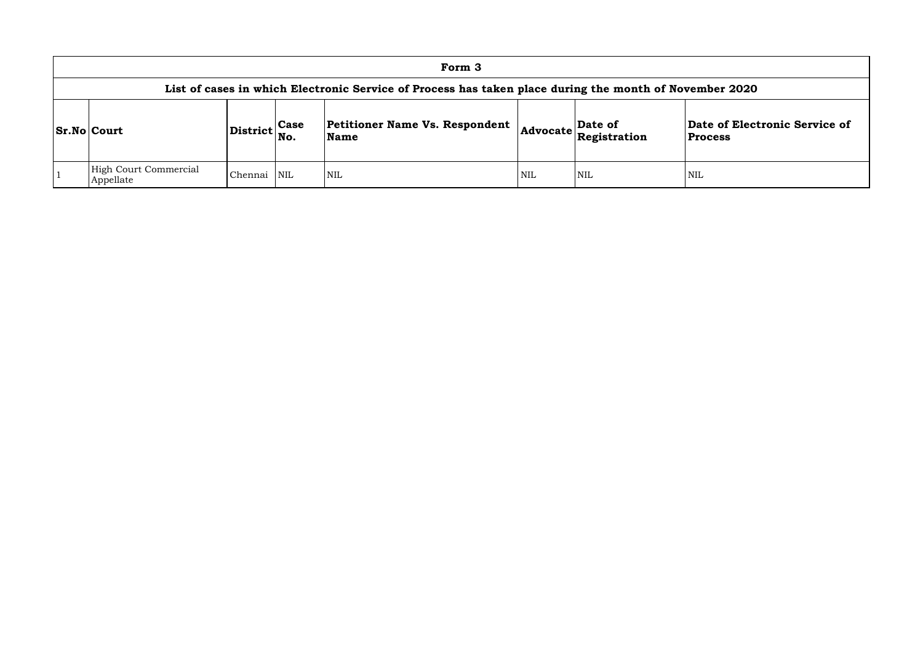|                                                                                                        |               |     | Form 3                                 |            |                                                            |                                |  |  |  |  |  |  |  |
|--------------------------------------------------------------------------------------------------------|---------------|-----|----------------------------------------|------------|------------------------------------------------------------|--------------------------------|--|--|--|--|--|--|--|
| List of cases in which Electronic Service of Process has taken place during the month of November 2020 |               |     |                                        |            |                                                            |                                |  |  |  |  |  |  |  |
| <b>Sr.No Court</b>                                                                                     | District Case | No. | Petitioner Name Vs. Respondent<br>Name |            | Date of<br>$ {\sf Advocate} \overline{\sf{Registration}} $ | Date of Elec<br><b>Process</b> |  |  |  |  |  |  |  |
| High Court Commercial<br>Appellate                                                                     | Chennai NIL   |     | <b>NIL</b>                             | <b>NIL</b> | 'NIL                                                       | NIL                            |  |  |  |  |  |  |  |

## **Date of Electronic Service of Process**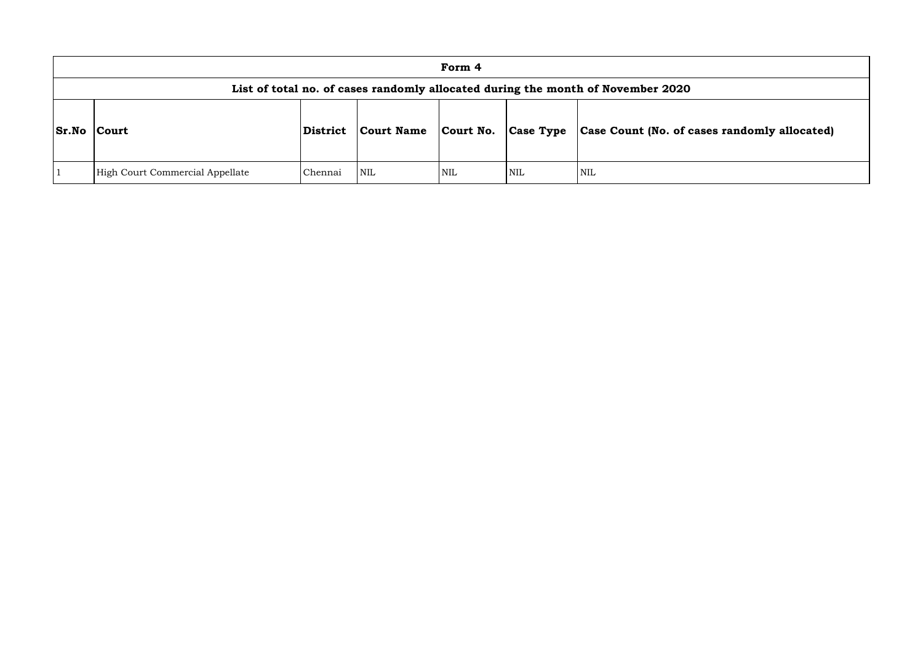|              |                                 |                 |                   | Form 4     |                  |                                                                                 |
|--------------|---------------------------------|-----------------|-------------------|------------|------------------|---------------------------------------------------------------------------------|
|              |                                 |                 |                   |            |                  | List of total no. of cases randomly allocated during the month of November 2020 |
| <b>Sr.No</b> | <b>Court</b>                    | <b>District</b> | <b>Court Name</b> | Court No.  | <b>Case Type</b> | <b>Case Count (No. of ca</b>                                                    |
|              | High Court Commercial Appellate | Chennai         | <b>NIL</b>        | <b>NIL</b> | <b>NIL</b>       | <b>NIL</b>                                                                      |

# **Sr.No Court District Court Name Court No. Case Type Case Count (No. of cases randomly allocated)**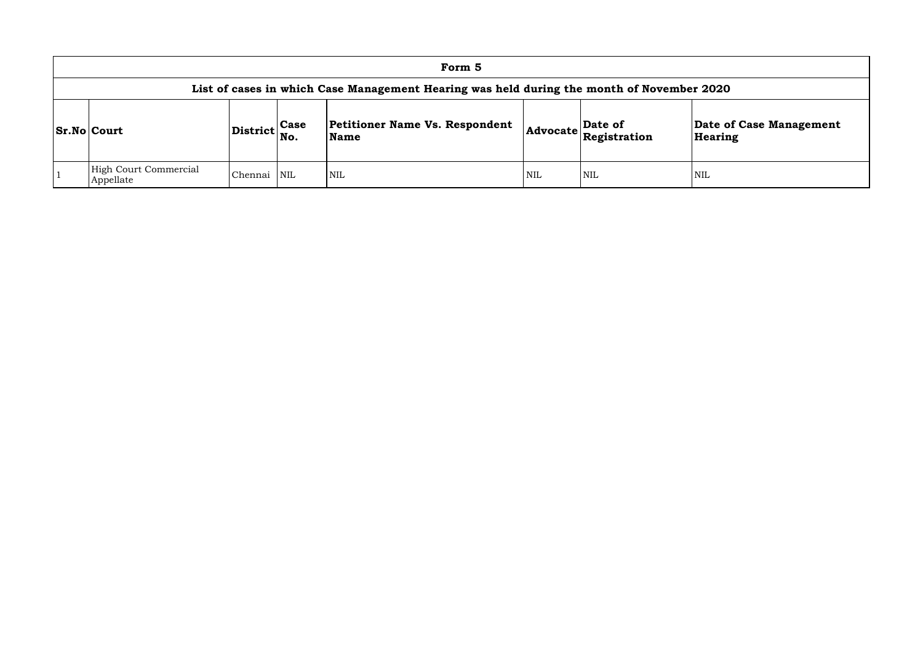|                                                                                           |                 |                    | Form 5                                               |                 |                         |                  |  |  |  |  |  |  |
|-------------------------------------------------------------------------------------------|-----------------|--------------------|------------------------------------------------------|-----------------|-------------------------|------------------|--|--|--|--|--|--|
| List of cases in which Case Management Hearing was held during the month of November 2020 |                 |                    |                                                      |                 |                         |                  |  |  |  |  |  |  |
| <b>Sr.No Court</b>                                                                        | <b>District</b> | <b>Case</b><br>No. | <b>Petitioner Name Vs. Respondent</b><br><b>Name</b> | <b>Advocate</b> | Date of<br>Registration | Date o<br>Hearin |  |  |  |  |  |  |
| <b>High Court Commercial</b><br>Appellate                                                 | Chennai         | <b>NIL</b>         | NIL                                                  | <b>NIL</b>      | NIL                     | <b>NIL</b>       |  |  |  |  |  |  |

## **Date of Case Management Hearing**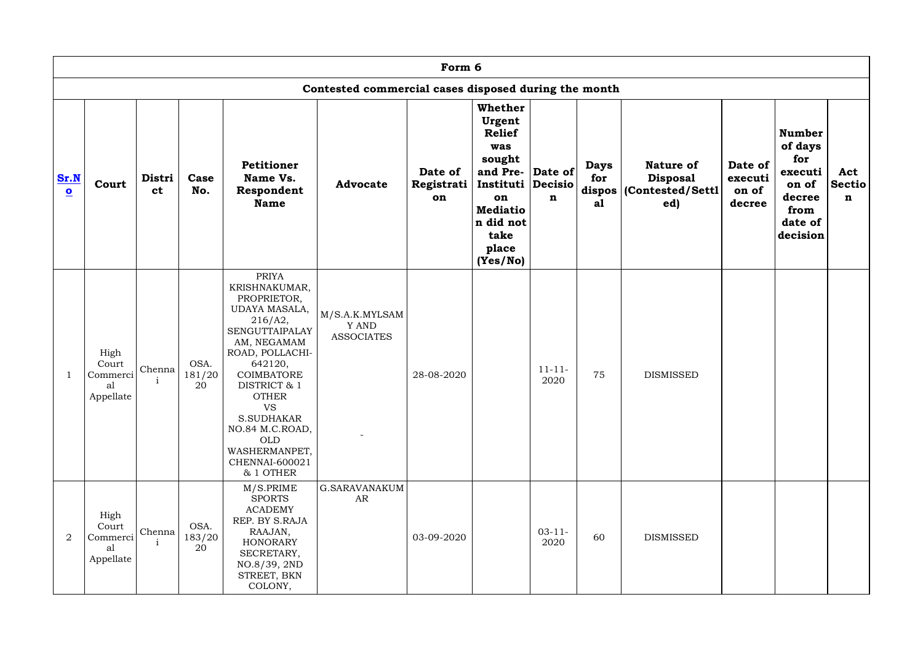|                                 |                                              | Form 6<br>Contested commercial cases disposed during the month |                      |                                                                                                                                                                                                                                                                                                   |                                              |                             |                                                                                                                                                                        |                     |                                                 |                                                                 |                                       |                                                                                              |                                     |
|---------------------------------|----------------------------------------------|----------------------------------------------------------------|----------------------|---------------------------------------------------------------------------------------------------------------------------------------------------------------------------------------------------------------------------------------------------------------------------------------------------|----------------------------------------------|-----------------------------|------------------------------------------------------------------------------------------------------------------------------------------------------------------------|---------------------|-------------------------------------------------|-----------------------------------------------------------------|---------------------------------------|----------------------------------------------------------------------------------------------|-------------------------------------|
|                                 |                                              |                                                                |                      |                                                                                                                                                                                                                                                                                                   |                                              |                             |                                                                                                                                                                        |                     |                                                 |                                                                 |                                       |                                                                                              |                                     |
| Sr.N<br>$\overline{\mathbf{o}}$ | Court                                        | Distri<br><b>ct</b>                                            | Case<br>No.          | Petitioner<br>Name Vs.<br>Respondent<br><b>Name</b>                                                                                                                                                                                                                                               | <b>Advocate</b>                              | Date of<br>Registrati<br>on | <b>Whether</b><br>Urgent<br><b>Relief</b><br>was<br>sought<br>and Pre- Date of<br>Instituti Decisio<br>on<br><b>Mediatio</b><br>n did not<br>take<br>place<br>(Yes/No) | n                   | <b>Days</b><br>for<br>dispos <sup>1</sup><br>a1 | <b>Nature of</b><br><b>Disposal</b><br>(Contested/Settl)<br>ed) | Date of<br>executi<br>on of<br>decree | <b>Number</b><br>of days<br>for<br>executi<br>on of<br>decree<br>from<br>date of<br>decision | Act<br><b>Sectio</b><br>$\mathbf n$ |
|                                 | High<br>Court<br>Commerci<br>al<br>Appellate | Chenna                                                         | OSA.<br>181/20<br>20 | <b>PRIYA</b><br>KRISHNAKUMAR,<br>PROPRIETOR,<br>UDAYA MASALA,<br>216/A2,<br>SENGUTTAIPALAY<br>AM, NEGAMAM<br>ROAD, POLLACHI-<br>642120,<br>COIMBATORE<br>DISTRICT & 1<br><b>OTHER</b><br><b>VS</b><br>S.SUDHAKAR<br>NO.84 M.C.ROAD,<br><b>OLD</b><br>WASHERMANPET,<br>CHENNAI-600021<br>& 1 OTHER | M/S.A.K.MYLSAM<br>Y AND<br><b>ASSOCIATES</b> | 28-08-2020                  |                                                                                                                                                                        | $11 - 11 -$<br>2020 | 75                                              | <b>DISMISSED</b>                                                |                                       |                                                                                              |                                     |
| $\overline{2}$                  | High<br>Court<br>Commerci<br>al<br>Appellate | Chenna                                                         | OSA.<br>183/20<br>20 | M/S.PRIME<br><b>SPORTS</b><br><b>ACADEMY</b><br>REP. BY S.RAJA<br>RAAJAN,<br><b>HONORARY</b><br>SECRETARY,<br>NO.8/39, 2ND<br>STREET, BKN<br>COLONY,                                                                                                                                              | <b>G.SARAVANAKUM</b><br>AR                   | 03-09-2020                  |                                                                                                                                                                        | $03 - 11 -$<br>2020 | 60                                              | <b>DISMISSED</b>                                                |                                       |                                                                                              |                                     |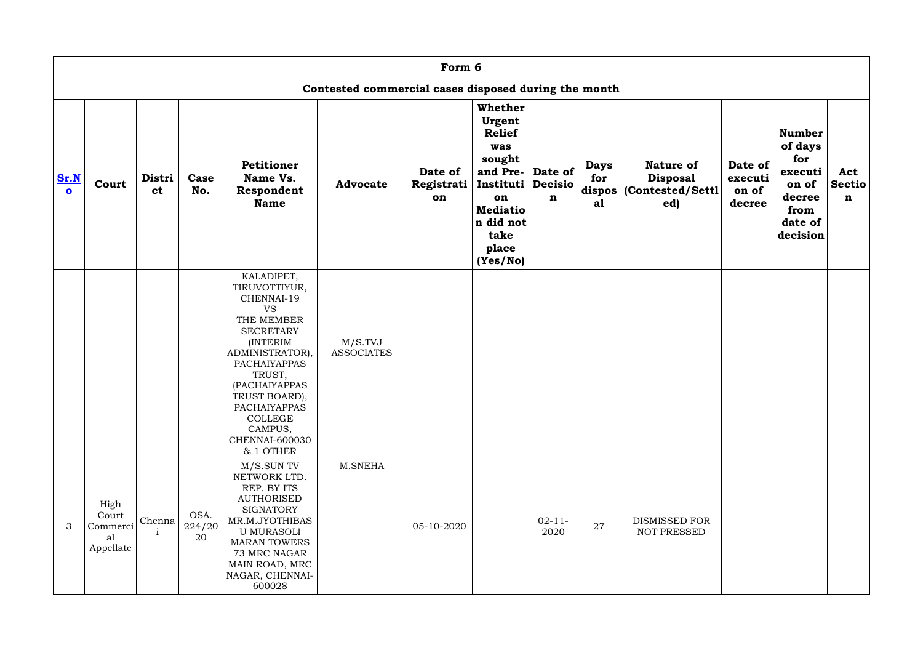|                                 | Form 6                                       |                                                                        |                      |                                                                                                                                                                                                                                                                                            |                              |                             |                                                                                                                                                          |                     |                                      |                                                          |                                       |                                                                                              |                                     |  |
|---------------------------------|----------------------------------------------|------------------------------------------------------------------------|----------------------|--------------------------------------------------------------------------------------------------------------------------------------------------------------------------------------------------------------------------------------------------------------------------------------------|------------------------------|-----------------------------|----------------------------------------------------------------------------------------------------------------------------------------------------------|---------------------|--------------------------------------|----------------------------------------------------------|---------------------------------------|----------------------------------------------------------------------------------------------|-------------------------------------|--|
|                                 |                                              | Contested commercial cases disposed during the month<br><b>Whether</b> |                      |                                                                                                                                                                                                                                                                                            |                              |                             |                                                                                                                                                          |                     |                                      |                                                          |                                       |                                                                                              |                                     |  |
| Sr.N<br>$\overline{\mathbf{o}}$ | Court                                        | Distri<br><b>ct</b>                                                    | Case<br>No.          | Petitioner<br>Name Vs.<br>Respondent<br><b>Name</b>                                                                                                                                                                                                                                        | <b>Advocate</b>              | Date of<br>Registrati<br>on | Urgent<br><b>Relief</b><br>was<br>sought<br>and Pre- Date of<br>Instituti   Decisio  <br>on<br><b>Mediatio</b><br>n did not<br>take<br>place<br>(Yes/No) | $\mathbf n$         | <b>Days</b><br>for<br>dispos  <br>a1 | Nature of<br><b>Disposal</b><br>(Contested/Settl)<br>ed) | Date of<br>executi<br>on of<br>decree | <b>Number</b><br>of days<br>for<br>executi<br>on of<br>decree<br>from<br>date of<br>decision | Act<br><b>Sectio</b><br>$\mathbf n$ |  |
|                                 |                                              |                                                                        |                      | KALADIPET,<br>TIRUVOTTIYUR,<br>CHENNAI-19<br><b>VS</b><br>THE MEMBER<br><b>SECRETARY</b><br><b>INTERIM</b><br>ADMINISTRATOR),<br><b>PACHAIYAPPAS</b><br>TRUST,<br>(PACHAIYAPPAS<br>TRUST BOARD),<br><b>PACHAIYAPPAS</b><br><b>COLLEGE</b><br>CAMPUS,<br><b>CHENNAI-600030</b><br>& 1 OTHER | M/S.TVJ<br><b>ASSOCIATES</b> |                             |                                                                                                                                                          |                     |                                      |                                                          |                                       |                                                                                              |                                     |  |
| 3                               | High<br>Court<br>Commerci<br>al<br>Appellate | Chenna                                                                 | OSA.<br>224/20<br>20 | M/S.SUN TV<br>NETWORK LTD.<br>REP. BY ITS<br><b>AUTHORISED</b><br><b>SIGNATORY</b><br>MR.M.JYOTHIBAS<br><b>U MURASOLI</b><br><b>MARAN TOWERS</b><br>73 MRC NAGAR<br>MAIN ROAD, MRC<br>NAGAR, CHENNAI-<br>600028                                                                            | M.SNEHA                      | 05-10-2020                  |                                                                                                                                                          | $02 - 11 -$<br>2020 | 27                                   | DISMISSED FOR<br>NOT PRESSED                             |                                       |                                                                                              |                                     |  |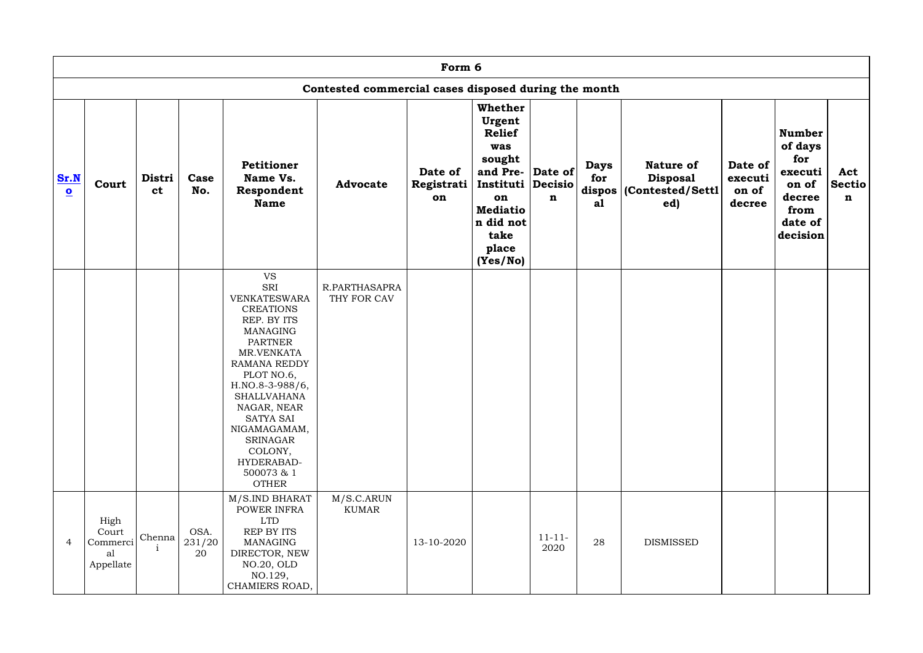|                                 | Form 6<br>Contested commercial cases disposed during the month |                     |                      |                                                                                                                                                                                                                                                                                                                                          |                              |                             |                                                                                                                                                                        |                     |                                    |                                                                 |                                       |                                                                                              |                                     |
|---------------------------------|----------------------------------------------------------------|---------------------|----------------------|------------------------------------------------------------------------------------------------------------------------------------------------------------------------------------------------------------------------------------------------------------------------------------------------------------------------------------------|------------------------------|-----------------------------|------------------------------------------------------------------------------------------------------------------------------------------------------------------------|---------------------|------------------------------------|-----------------------------------------------------------------|---------------------------------------|----------------------------------------------------------------------------------------------|-------------------------------------|
|                                 |                                                                |                     |                      |                                                                                                                                                                                                                                                                                                                                          |                              |                             |                                                                                                                                                                        |                     |                                    |                                                                 |                                       |                                                                                              |                                     |
| Sr.N<br>$\overline{\mathbf{o}}$ | Court                                                          | Distri<br><b>ct</b> | Case<br>No.          | Petitioner<br>Name Vs.<br>Respondent<br><b>Name</b>                                                                                                                                                                                                                                                                                      | <b>Advocate</b>              | Date of<br>Registrati<br>on | <b>Whether</b><br>Urgent<br><b>Relief</b><br>was<br>sought<br>and Pre- Date of<br>Instituti Decisio<br>on<br><b>Mediatio</b><br>n did not<br>take<br>place<br>(Yes/No) | $\mathbf n$         | <b>Days</b><br>for<br>dispos<br>a1 | <b>Nature of</b><br><b>Disposal</b><br>(Contested/Settl)<br>ed) | Date of<br>executi<br>on of<br>decree | <b>Number</b><br>of days<br>for<br>executi<br>on of<br>decree<br>from<br>date of<br>decision | Act<br><b>Sectio</b><br>$\mathbf n$ |
|                                 |                                                                |                     |                      | <b>VS</b><br>SRI<br><b>VENKATESWARA</b><br><b>CREATIONS</b><br>REP. BY ITS<br><b>MANAGING</b><br><b>PARTNER</b><br>MR.VENKATA<br><b>RAMANA REDDY</b><br>PLOT NO.6,<br>H.NO.8-3-988/6,<br><b>SHALLVAHANA</b><br>NAGAR, NEAR<br><b>SATYA SAI</b><br>NIGAMAGAMAM,<br><b>SRINAGAR</b><br>COLONY,<br>HYDERABAD-<br>500073 & 1<br><b>OTHER</b> | R.PARTHASAPRA<br>THY FOR CAV |                             |                                                                                                                                                                        |                     |                                    |                                                                 |                                       |                                                                                              |                                     |
| $\overline{4}$                  | High<br>Court<br>Commerci<br>al<br>Appellate                   | Chenna              | OSA.<br>231/20<br>20 | M/S.IND BHARAT<br>POWER INFRA<br><b>LTD</b><br>REP BY ITS<br><b>MANAGING</b><br>DIRECTOR, NEW<br>NO.20, OLD<br>NO.129,<br>CHAMIERS ROAD,                                                                                                                                                                                                 | M/S.C.ARUN<br><b>KUMAR</b>   | 13-10-2020                  |                                                                                                                                                                        | $11 - 11 -$<br>2020 | 28                                 | <b>DISMISSED</b>                                                |                                       |                                                                                              |                                     |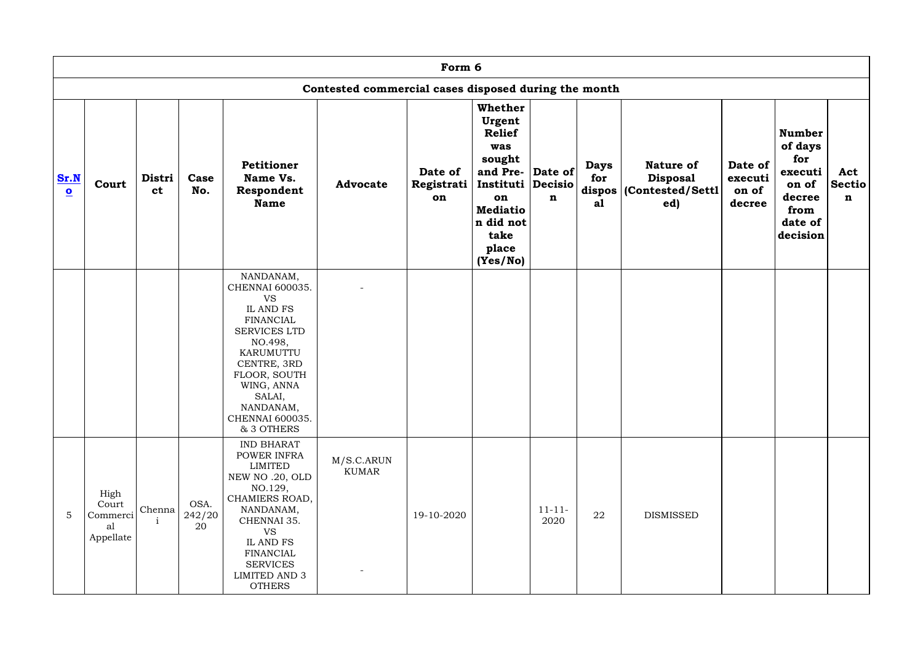|                                 |                                              |                        |                      |                                                                                                                                                                                                                                  |                                                      | Form 6                      |                                                                                                                                                                 |                     |                                      |                                                               |                                       |                                                                                              |                                     |
|---------------------------------|----------------------------------------------|------------------------|----------------------|----------------------------------------------------------------------------------------------------------------------------------------------------------------------------------------------------------------------------------|------------------------------------------------------|-----------------------------|-----------------------------------------------------------------------------------------------------------------------------------------------------------------|---------------------|--------------------------------------|---------------------------------------------------------------|---------------------------------------|----------------------------------------------------------------------------------------------|-------------------------------------|
|                                 |                                              |                        |                      |                                                                                                                                                                                                                                  | Contested commercial cases disposed during the month |                             |                                                                                                                                                                 |                     |                                      |                                                               |                                       |                                                                                              |                                     |
| Sr.N<br>$\overline{\mathbf{O}}$ | Court                                        | Distri<br><b>ct</b>    | Case<br>No.          | <b>Petitioner</b><br>Name Vs.<br>Respondent<br><b>Name</b>                                                                                                                                                                       | <b>Advocate</b>                                      | Date of<br>Registrati<br>on | Whether<br>Urgent<br><b>Relief</b><br>was<br>sought<br>and Pre- Date of<br>Instituti Decisio<br>on<br><b>Mediatio</b><br>n did not<br>take<br>place<br>(Yes/No) | $\mathbf n$         | <b>Days</b><br>for<br>dispos  <br>a1 | <b>Nature of</b><br><b>Disposal</b><br>Contested/Settl<br>ed) | Date of<br>executi<br>on of<br>decree | <b>Number</b><br>of days<br>for<br>executi<br>on of<br>decree<br>from<br>date of<br>decision | Act<br><b>Sectio</b><br>$\mathbf n$ |
|                                 |                                              |                        |                      | NANDANAM,<br>CHENNAI 600035.<br><b>VS</b><br>IL AND FS<br><b>FINANCIAL</b><br><b>SERVICES LTD</b><br>NO.498,<br>KARUMUTTU<br>CENTRE, 3RD<br>FLOOR, SOUTH<br>WING, ANNA<br>SALAI,<br>NANDANAM,<br>CHENNAI 600035.<br>& 3 OTHERS   |                                                      |                             |                                                                                                                                                                 |                     |                                      |                                                               |                                       |                                                                                              |                                     |
| $\overline{5}$                  | High<br>Court<br>Commerci<br>al<br>Appellate | Chenna<br>$\mathbf{i}$ | OSA.<br>242/20<br>20 | <b>IND BHARAT</b><br>POWER INFRA<br>LIMITED<br>NEW NO.20, OLD<br>NO.129,<br>CHAMIERS ROAD,<br>NANDANAM,<br>CHENNAI 35.<br><b>VS</b><br>IL AND FS<br><b>FINANCIAL</b><br><b>SERVICES</b><br><b>LIMITED AND 3</b><br><b>OTHERS</b> | M/S.C.ARUN<br>KUMAR                                  | 19-10-2020                  |                                                                                                                                                                 | $11 - 11 -$<br>2020 | ${\bf 22}$                           | <b>DISMISSED</b>                                              |                                       |                                                                                              |                                     |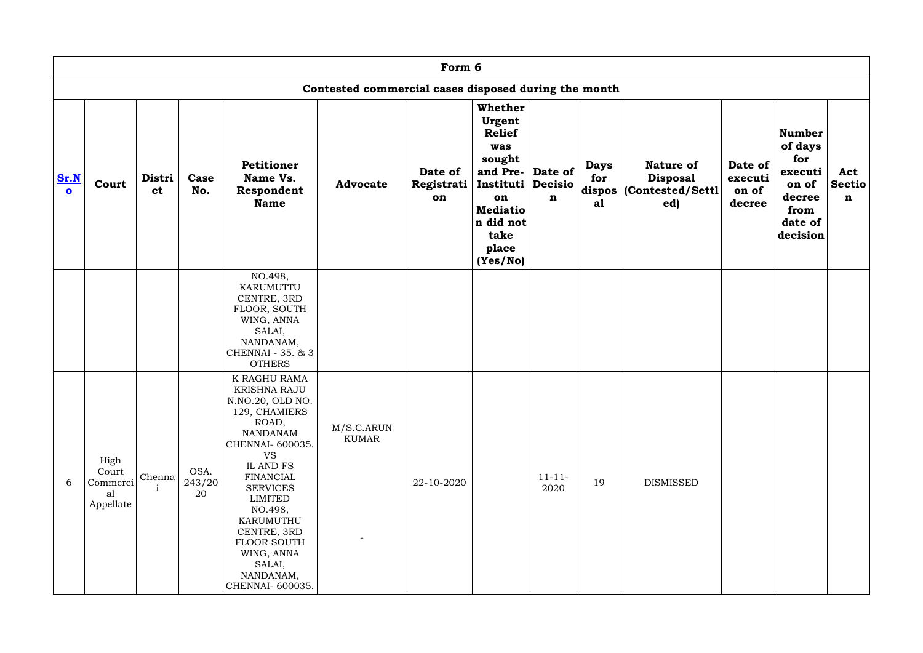|                                 |                                              |                     |                      |                                                                                                                                                                                                                                                                                                       |                                                      | Form 6                      |                                                                                                                                                                        |                     |                                      |                                                               |                                       |                                                                                              |                                     |
|---------------------------------|----------------------------------------------|---------------------|----------------------|-------------------------------------------------------------------------------------------------------------------------------------------------------------------------------------------------------------------------------------------------------------------------------------------------------|------------------------------------------------------|-----------------------------|------------------------------------------------------------------------------------------------------------------------------------------------------------------------|---------------------|--------------------------------------|---------------------------------------------------------------|---------------------------------------|----------------------------------------------------------------------------------------------|-------------------------------------|
|                                 |                                              |                     |                      |                                                                                                                                                                                                                                                                                                       | Contested commercial cases disposed during the month |                             |                                                                                                                                                                        |                     |                                      |                                                               |                                       |                                                                                              |                                     |
| Sr.N<br>$\overline{\mathbf{o}}$ | Court                                        | Distri<br><b>ct</b> | Case<br>No.          | Petitioner<br>Name Vs.<br>Respondent<br><b>Name</b>                                                                                                                                                                                                                                                   | <b>Advocate</b>                                      | Date of<br>Registrati<br>on | <b>Whether</b><br>Urgent<br><b>Relief</b><br>was<br>sought<br>and Pre- Date of<br>Instituti Decisio<br>on<br><b>Mediatio</b><br>n did not<br>take<br>place<br>(Yes/No) | $\mathbf n$         | <b>Days</b><br>for<br>dispos  <br>a1 | <b>Nature of</b><br><b>Disposal</b><br>Contested/Settl<br>ed) | Date of<br>executi<br>on of<br>decree | <b>Number</b><br>of days<br>for<br>executi<br>on of<br>decree<br>from<br>date of<br>decision | Act<br><b>Sectio</b><br>$\mathbf n$ |
|                                 |                                              |                     |                      | NO.498,<br>KARUMUTTU<br>CENTRE, 3RD<br>FLOOR, SOUTH<br>WING, ANNA<br>SALAI,<br>NANDANAM,<br>CHENNAI - 35. & 3<br><b>OTHERS</b>                                                                                                                                                                        |                                                      |                             |                                                                                                                                                                        |                     |                                      |                                                               |                                       |                                                                                              |                                     |
| 6                               | High<br>Court<br>Commerci<br>al<br>Appellate | Chenna              | OSA.<br>243/20<br>20 | K RAGHU RAMA<br><b>KRISHNA RAJU</b><br>N.NO.20, OLD NO.<br>129, CHAMIERS<br>ROAD,<br>NANDANAM<br>CHENNAI- 600035.<br><b>VS</b><br>IL AND FS<br>FINANCIAL<br><b>SERVICES</b><br>LIMITED<br>NO.498,<br>KARUMUTHU<br>CENTRE, 3RD<br>FLOOR SOUTH<br>WING, ANNA<br>SALAI,<br>NANDANAM,<br>CHENNAI- 600035. | M/S.C.ARUN<br>KUMAR                                  | 22-10-2020                  |                                                                                                                                                                        | $11 - 11 -$<br>2020 | 19                                   | DISMISSED                                                     |                                       |                                                                                              |                                     |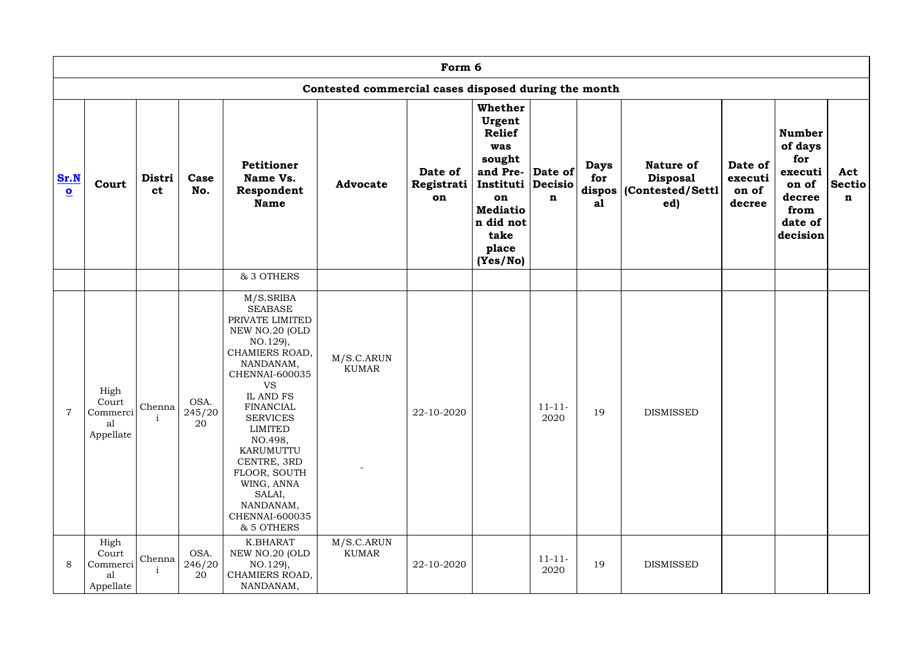|                                 |                                              |                     |                      |                                                                                                                                                                                                                                                                                                                                                     |                                                      | Form 6                      |                                                                                                                                                                 |                     |                                      |                                                               |                                       |                                                                                              |                                     |
|---------------------------------|----------------------------------------------|---------------------|----------------------|-----------------------------------------------------------------------------------------------------------------------------------------------------------------------------------------------------------------------------------------------------------------------------------------------------------------------------------------------------|------------------------------------------------------|-----------------------------|-----------------------------------------------------------------------------------------------------------------------------------------------------------------|---------------------|--------------------------------------|---------------------------------------------------------------|---------------------------------------|----------------------------------------------------------------------------------------------|-------------------------------------|
|                                 |                                              |                     |                      |                                                                                                                                                                                                                                                                                                                                                     | Contested commercial cases disposed during the month |                             |                                                                                                                                                                 |                     |                                      |                                                               |                                       |                                                                                              |                                     |
| Sr.N<br>$\overline{\mathbf{o}}$ | Court                                        | Distri<br><b>ct</b> | Case<br>No.          | Petitioner<br>Name Vs.<br>Respondent<br><b>Name</b>                                                                                                                                                                                                                                                                                                 | <b>Advocate</b>                                      | Date of<br>Registrati<br>on | Whether<br>Urgent<br><b>Relief</b><br>was<br>sought<br>and Pre- Date of<br>Instituti Decisio<br>on<br><b>Mediatio</b><br>n did not<br>take<br>place<br>(Yes/No) | n                   | <b>Days</b><br>for<br>dispos  <br>a1 | <b>Nature of</b><br><b>Disposal</b><br>Contested/Settl<br>ed) | Date of<br>executi<br>on of<br>decree | <b>Number</b><br>of days<br>for<br>executi<br>on of<br>decree<br>from<br>date of<br>decision | Act<br><b>Sectio</b><br>$\mathbf n$ |
|                                 |                                              |                     |                      | & 3 OTHERS                                                                                                                                                                                                                                                                                                                                          |                                                      |                             |                                                                                                                                                                 |                     |                                      |                                                               |                                       |                                                                                              |                                     |
| $\overline{7}$                  | High<br>Court<br>Commerci<br>al<br>Appellate | Chenna              | OSA.<br>245/20<br>20 | M/S.SRIBA<br><b>SEABASE</b><br>PRIVATE LIMITED<br>NEW NO.20 (OLD<br>NO.129),<br>CHAMIERS ROAD,<br>NANDANAM,<br>CHENNAI-600035<br><b>VS</b><br><b>IL AND FS</b><br><b>FINANCIAL</b><br><b>SERVICES</b><br><b>LIMITED</b><br>NO.498,<br>KARUMUTTU<br>CENTRE, 3RD<br>FLOOR, SOUTH<br>WING, ANNA<br>SALAI,<br>NANDANAM,<br>CHENNAI-600035<br>& 5 OTHERS | M/S.C.ARUN<br><b>KUMAR</b>                           | 22-10-2020                  |                                                                                                                                                                 | $11 - 11 -$<br>2020 | 19                                   | <b>DISMISSED</b>                                              |                                       |                                                                                              |                                     |
| 8                               | High<br>Court<br>Commerci<br>al<br>Appellate | Chenna              | OSA.<br>246/20<br>20 | K.BHARAT<br>NEW NO.20 (OLD<br>NO.129),<br>CHAMIERS ROAD,<br>NANDANAM,                                                                                                                                                                                                                                                                               | M/S.C.ARUN<br><b>KUMAR</b>                           | 22-10-2020                  |                                                                                                                                                                 | $11 - 11 -$<br>2020 | 19                                   | <b>DISMISSED</b>                                              |                                       |                                                                                              |                                     |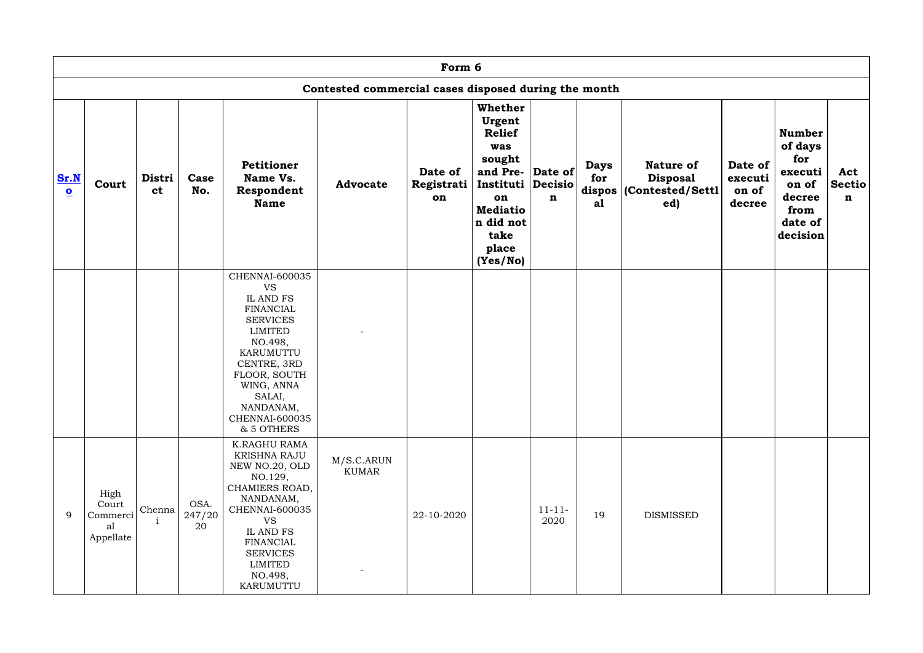|                                 |                                              |                        |                      |                                                                                                                                                                                                                        |                                                      | Form 6                      |                                                                                                                                                                 |                     |                          |                                                                         |                                       |                                                                                              |                                     |
|---------------------------------|----------------------------------------------|------------------------|----------------------|------------------------------------------------------------------------------------------------------------------------------------------------------------------------------------------------------------------------|------------------------------------------------------|-----------------------------|-----------------------------------------------------------------------------------------------------------------------------------------------------------------|---------------------|--------------------------|-------------------------------------------------------------------------|---------------------------------------|----------------------------------------------------------------------------------------------|-------------------------------------|
|                                 |                                              |                        |                      |                                                                                                                                                                                                                        | Contested commercial cases disposed during the month |                             |                                                                                                                                                                 |                     |                          |                                                                         |                                       |                                                                                              |                                     |
| Sr.N<br>$\overline{\mathbf{O}}$ | Court                                        | Distri<br><b>ct</b>    | Case<br>No.          | <b>Petitioner</b><br>Name Vs.<br>Respondent<br><b>Name</b>                                                                                                                                                             | <b>Advocate</b>                                      | Date of<br>Registrati<br>on | Whether<br>Urgent<br><b>Relief</b><br>was<br>sought<br>and Pre- Date of<br>Instituti Decisio<br>on<br><b>Mediatio</b><br>n did not<br>take<br>place<br>(Yes/No) | $\mathbf n$         | <b>Days</b><br>for<br>a1 | <b>Nature of</b><br><b>Disposal</b><br>dispos   (Contested/Settl<br>ed) | Date of<br>executi<br>on of<br>decree | <b>Number</b><br>of days<br>for<br>executi<br>on of<br>decree<br>from<br>date of<br>decision | Act<br><b>Sectio</b><br>$\mathbf n$ |
|                                 |                                              |                        |                      | CHENNAI-600035<br><b>VS</b><br>IL AND FS<br><b>FINANCIAL</b><br><b>SERVICES</b><br>LIMITED<br>NO.498,<br>KARUMUTTU<br>CENTRE, 3RD<br>FLOOR, SOUTH<br>WING, ANNA<br>SALAI,<br>NANDANAM,<br>CHENNAI-600035<br>& 5 OTHERS |                                                      |                             |                                                                                                                                                                 |                     |                          |                                                                         |                                       |                                                                                              |                                     |
| 9                               | High<br>Court<br>Commerci<br>al<br>Appellate | Chenna<br>$\mathbf{i}$ | OSA.<br>247/20<br>20 | K.RAGHU RAMA<br><b>KRISHNA RAJU</b><br>NEW NO.20, OLD<br>NO.129,<br>CHAMIERS ROAD,<br>NANDANAM,<br>CHENNAI-600035<br><b>VS</b><br>IL AND FS<br><b>FINANCIAL</b><br>SERVICES<br>LIMITED<br>NO.498,<br>KARUMUTTU         | M/S.C.ARUN<br>KUMAR                                  | 22-10-2020                  |                                                                                                                                                                 | $11 - 11 -$<br>2020 | 19                       | <b>DISMISSED</b>                                                        |                                       |                                                                                              |                                     |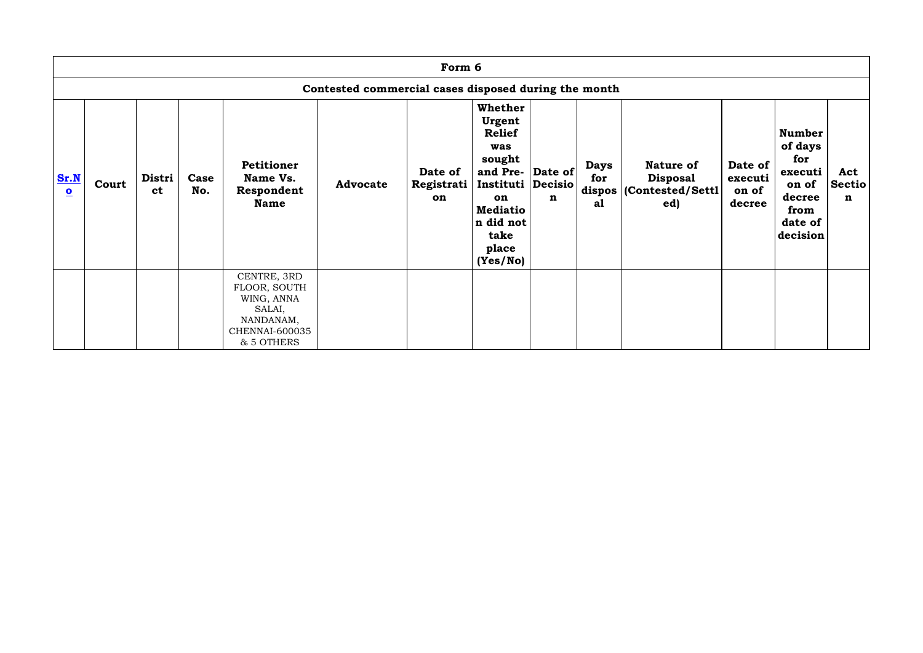|                                 | Form 6                                               |                     |             |                                                                                                  |                 |                             |                                                                                                                                                                 |   |                          |                                                                         |                                       |                                                                                              |                           |
|---------------------------------|------------------------------------------------------|---------------------|-------------|--------------------------------------------------------------------------------------------------|-----------------|-----------------------------|-----------------------------------------------------------------------------------------------------------------------------------------------------------------|---|--------------------------|-------------------------------------------------------------------------|---------------------------------------|----------------------------------------------------------------------------------------------|---------------------------|
|                                 | Contested commercial cases disposed during the month |                     |             |                                                                                                  |                 |                             |                                                                                                                                                                 |   |                          |                                                                         |                                       |                                                                                              |                           |
| Sr.N<br>$\overline{\mathbf{o}}$ | Court                                                | Distri<br><b>ct</b> | Case<br>No. | <b>Petitioner</b><br>Name Vs.<br>Respondent<br><b>Name</b>                                       | <b>Advocate</b> | Date of<br>Registrati<br>on | Whether<br>Urgent<br><b>Relief</b><br>was<br>sought<br>and Pre- Date of<br>Instituti Decisio<br>on<br><b>Mediatio</b><br>n did not<br>take<br>place<br>(Yes/No) | n | <b>Days</b><br>for<br>a1 | <b>Nature of</b><br><b>Disposal</b><br>dispos   (Contested/Settl<br>ed) | Date of<br>executi<br>on of<br>decree | <b>Number</b><br>of days<br>for<br>executi<br>on of<br>decree<br>from<br>date of<br>decision | Act<br><b>Sectio</b><br>n |
|                                 |                                                      |                     |             | CENTRE, 3RD<br>FLOOR, SOUTH<br>WING, ANNA<br>SALAI,<br>NANDANAM,<br>CHENNAI-600035<br>& 5 OTHERS |                 |                             |                                                                                                                                                                 |   |                          |                                                                         |                                       |                                                                                              |                           |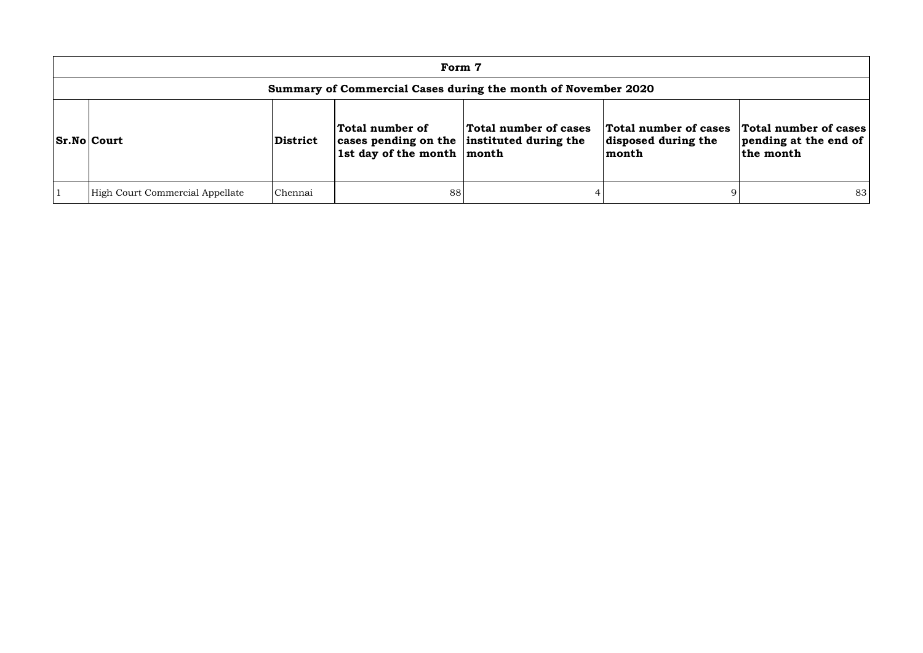| Form 7                                                        |                 |                                                                                             |                       |                                                       |                                                             |  |  |  |  |  |
|---------------------------------------------------------------|-----------------|---------------------------------------------------------------------------------------------|-----------------------|-------------------------------------------------------|-------------------------------------------------------------|--|--|--|--|--|
| Summary of Commercial Cases during the month of November 2020 |                 |                                                                                             |                       |                                                       |                                                             |  |  |  |  |  |
| <b>Sr.No Court</b>                                            | <b>District</b> | Total number of<br>cases pending on the instituted during the<br>1st day of the month month | Total number of cases | Total number of cases<br>disposed during the<br>month | Total number of cases<br>pending at the end of<br>the month |  |  |  |  |  |
| High Court Commercial Appellate                               | Chennai         | 88                                                                                          |                       |                                                       | 83                                                          |  |  |  |  |  |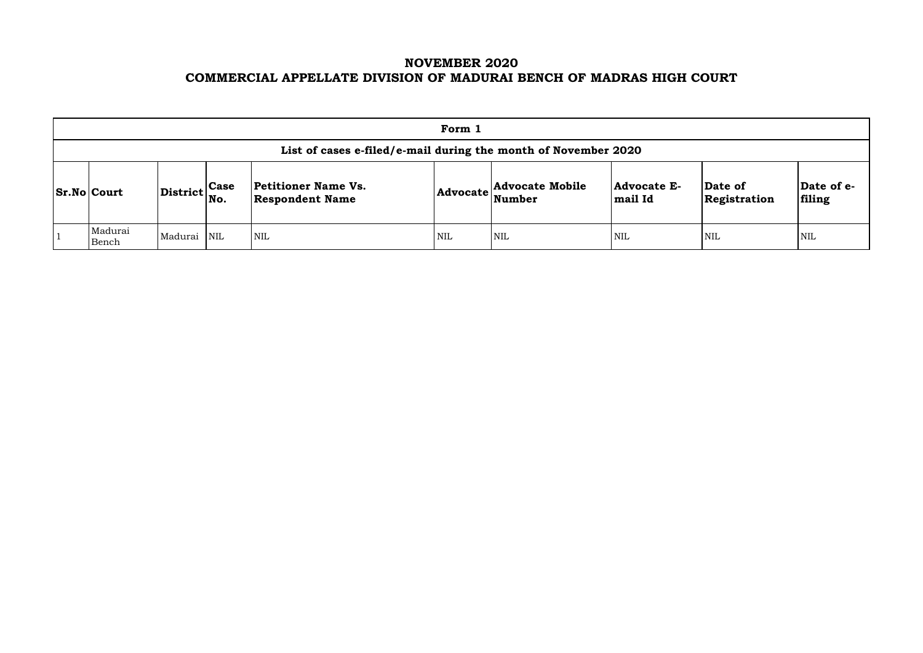# **NOVEMBER 2020 COMMERCIAL APPELLATE DIVISION OF MADURAI BENCH OF MADRAS HIGH COURT**

|                                                                |                                                             |  |                                               | Form 1 |                                                           |                                      |                         |                     |  |  |  |
|----------------------------------------------------------------|-------------------------------------------------------------|--|-----------------------------------------------|--------|-----------------------------------------------------------|--------------------------------------|-------------------------|---------------------|--|--|--|
| List of cases e-filed/e-mail during the month of November 2020 |                                                             |  |                                               |        |                                                           |                                      |                         |                     |  |  |  |
| <b>Sr.No Court</b>                                             | $\left  \text{District} \right _{\text{No.}}^{\text{Case}}$ |  | Petitioner Name Vs.<br><b>Respondent Name</b> |        | <b>Advocate Mobile</b><br>$ {\bf Advocate}\rangle$ Number | <b>Advocate E-</b><br><b>mail Id</b> | Date of<br>Registration | $ {\bf Da}$<br>fili |  |  |  |
| Madurai<br>Bench                                               | Madurai NIL                                                 |  | <b>NIL</b>                                    | NIL    | <b>NIL</b>                                                | <b>NIL</b>                           | <b>NIL</b>              | NIL                 |  |  |  |

| Date of<br>Registration | Date of e-<br>filing |
|-------------------------|----------------------|
| NIL                     | NH.                  |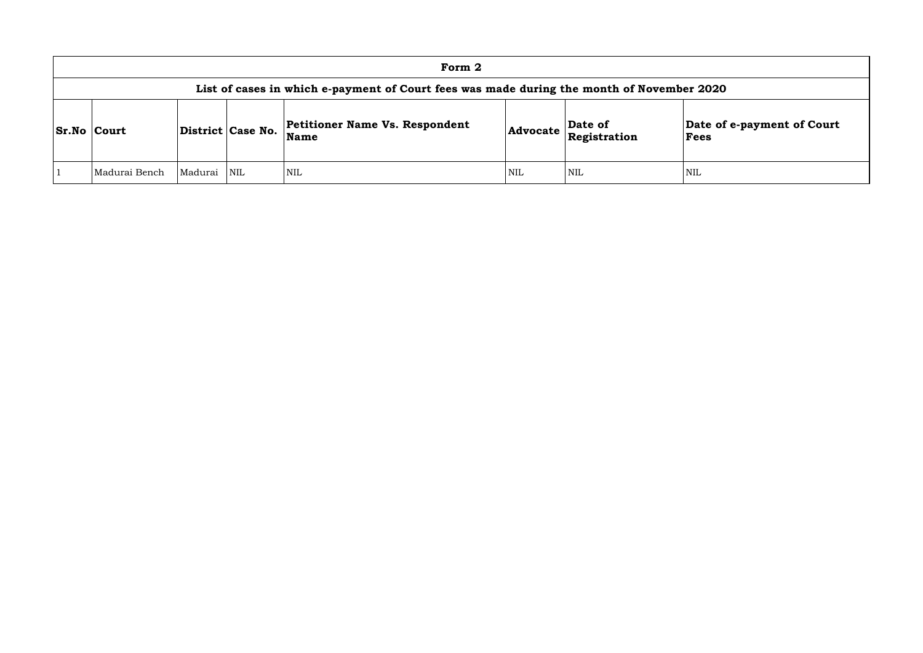| Form 2                                                                                    |         |                   |                                               |     |                                                     |                        |  |  |  |  |
|-------------------------------------------------------------------------------------------|---------|-------------------|-----------------------------------------------|-----|-----------------------------------------------------|------------------------|--|--|--|--|
| List of cases in which e-payment of Court fees was made during the month of November 2020 |         |                   |                                               |     |                                                     |                        |  |  |  |  |
| <b>Sr.No Court</b>                                                                        |         | District Case No. | <b>Petitioner Name Vs. Respondent</b><br>Name |     | Date of<br>$ {\bf Advocate}\ _{{\bf Registration}}$ | Date of<br><b>Fees</b> |  |  |  |  |
| Madurai Bench                                                                             | Madurai | NIL               | <b>NIL</b>                                    | NIL | <b>NIL</b>                                          | NIL                    |  |  |  |  |

## **Date of e-payment of Court Fees**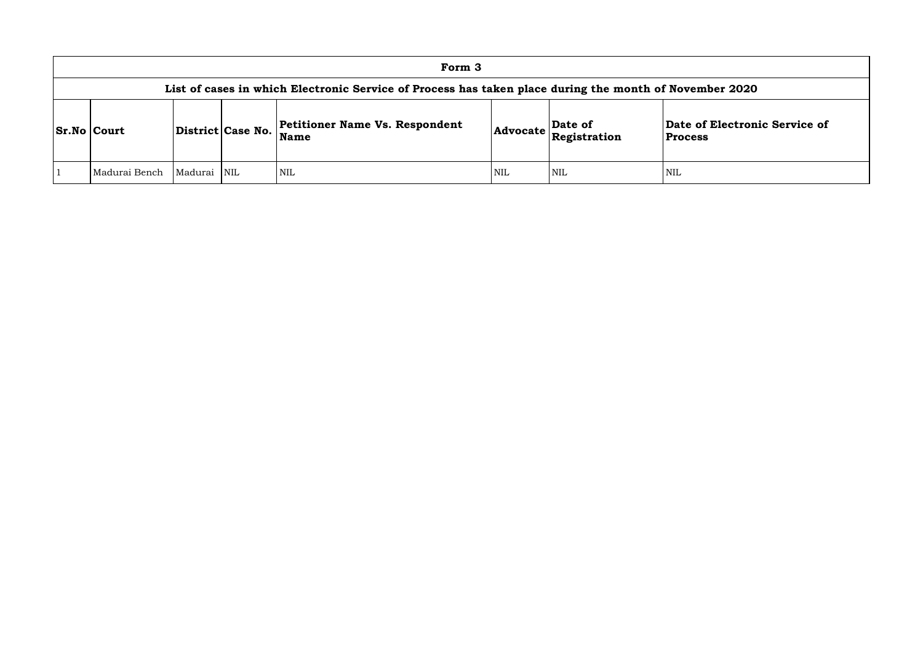### **of Electronic Service of Process**

|                    |                                                                                                        |             |                   | Form 3                                               |     |                                                                            |                                    |  |  |  |  |
|--------------------|--------------------------------------------------------------------------------------------------------|-------------|-------------------|------------------------------------------------------|-----|----------------------------------------------------------------------------|------------------------------------|--|--|--|--|
|                    | List of cases in which Electronic Service of Process has taken place during the month of November 2020 |             |                   |                                                      |     |                                                                            |                                    |  |  |  |  |
| <b>Sr.No Court</b> |                                                                                                        |             | District Case No. | <b>Petitioner Name Vs. Respondent</b><br><b>Name</b> |     | Date of<br>$ {\bf Advocate}\left \stackrel{\text{def}}{\text{Res}}\right $ | Date of Electron<br><b>Process</b> |  |  |  |  |
|                    | Madurai Bench                                                                                          | Madurai NIL |                   | NIL <sup>1</sup>                                     | NIL | NIL                                                                        | NIL                                |  |  |  |  |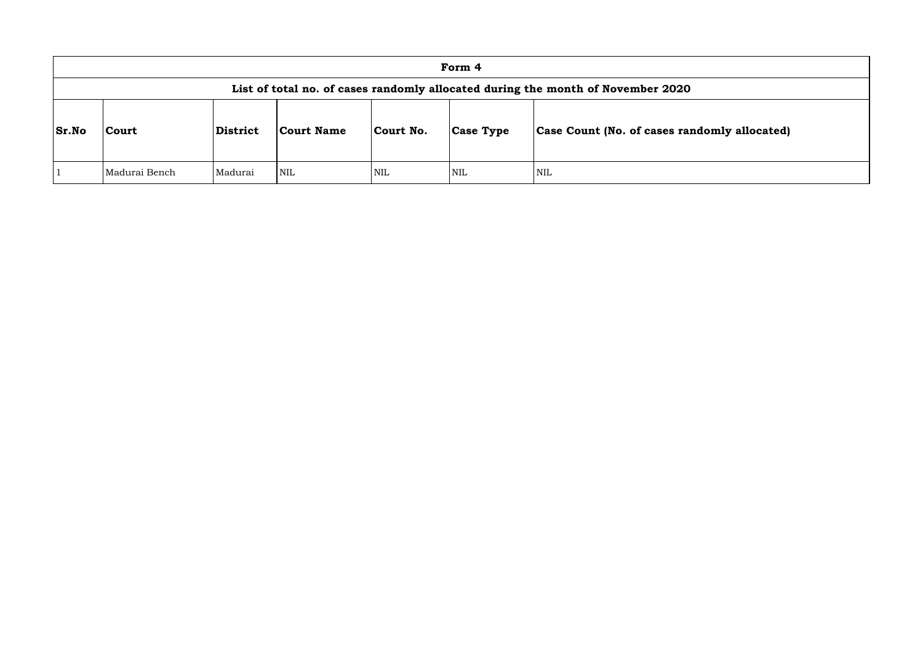|              |                                                                                 |          |            |            | Form 4           |                               |  |  |  |  |  |
|--------------|---------------------------------------------------------------------------------|----------|------------|------------|------------------|-------------------------------|--|--|--|--|--|
|              | List of total no. of cases randomly allocated during the month of November 2020 |          |            |            |                  |                               |  |  |  |  |  |
| <b>Sr.No</b> | Court                                                                           | District | Court Name | Court No.  | <b>Case Type</b> | Case Count (No. of cases rand |  |  |  |  |  |
|              | Madurai Bench                                                                   | Madurai  | <b>NIL</b> | <b>NIL</b> | <b>NIL</b>       | <b>NIL</b>                    |  |  |  |  |  |

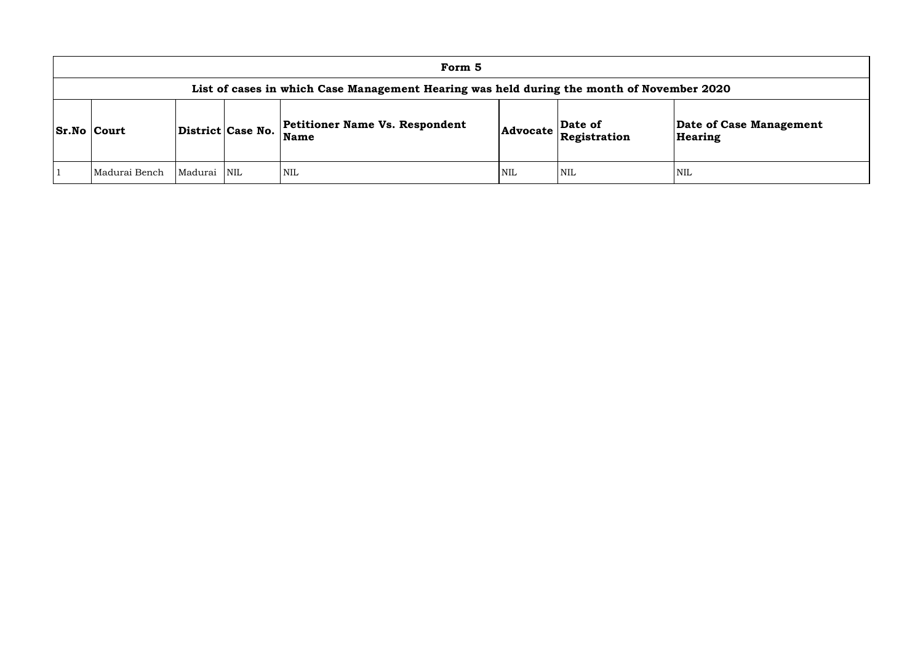|                                                                                           |         |                   | Form 5                                               |            |                         |                      |  |  |  |  |
|-------------------------------------------------------------------------------------------|---------|-------------------|------------------------------------------------------|------------|-------------------------|----------------------|--|--|--|--|
| List of cases in which Case Management Hearing was held during the month of November 2020 |         |                   |                                                      |            |                         |                      |  |  |  |  |
| <b>Sr.No Court</b>                                                                        |         | District Case No. | <b>Petitioner Name Vs. Respondent</b><br><b>Name</b> | Advocate   | Date of<br>Registration | Date of C<br>Hearing |  |  |  |  |
| Madurai Bench                                                                             | Madurai | <b>NIL</b>        | NIL                                                  | <b>NIL</b> | <b>NIL</b>              | NIL                  |  |  |  |  |

**e of Case Management** ring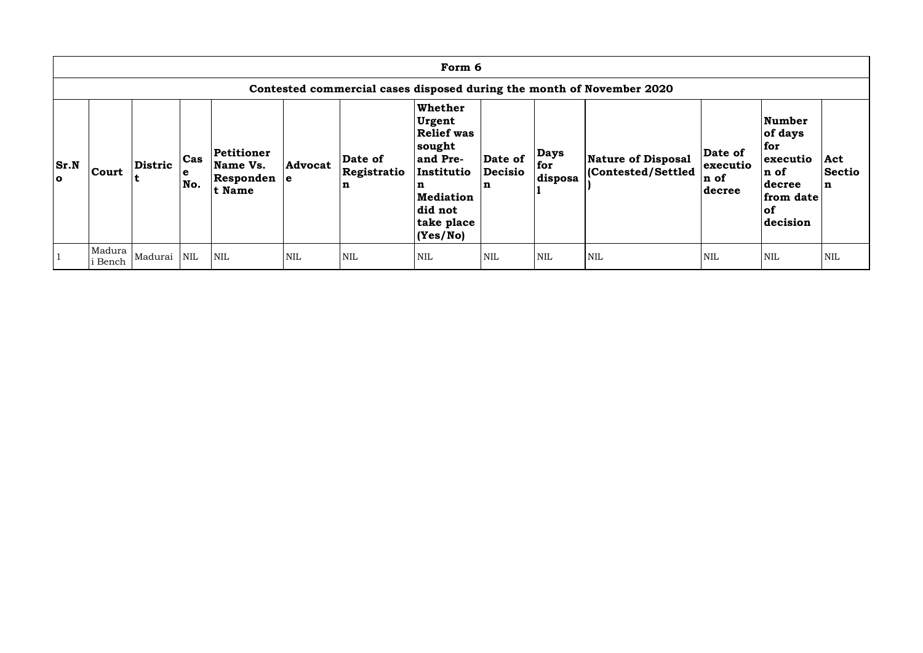|             | Form 6                                                                |         |                 |                                                         |                |                                       |                                                                                                                                          |                                   |                               |                                                |                                       |                                                                                        |                                     |
|-------------|-----------------------------------------------------------------------|---------|-----------------|---------------------------------------------------------|----------------|---------------------------------------|------------------------------------------------------------------------------------------------------------------------------------------|-----------------------------------|-------------------------------|------------------------------------------------|---------------------------------------|----------------------------------------------------------------------------------------|-------------------------------------|
|             | Contested commercial cases disposed during the month of November 2020 |         |                 |                                                         |                |                                       |                                                                                                                                          |                                   |                               |                                                |                                       |                                                                                        |                                     |
| Sr.N<br>l o | Court                                                                 | Distric | Cas<br>e<br>No. | Petitioner<br>Name Vs.<br>$ $ Responden $ e $<br>t Name | <b>Advocat</b> | Date of<br>Registratio<br>$\mathbf n$ | Whether<br>Urgent<br><b>Relief was</b><br>sought<br>and Pre-<br>Institutio<br>n<br><b>Mediation</b><br>did not<br>take place<br>(Yes/No) | Date of<br>Decisio<br>$\mathbf n$ | <b>Days</b><br>for<br>disposa | <b>Nature of Disposal</b><br>Contested/Settled | Date of<br>executio<br>n of<br>decree | Number<br>of days<br>for<br>executio<br>n of<br>decree<br>from date<br> of<br>decision | Act<br><b>Sectio</b><br>$\mathbf n$ |
|             | Madura<br><b>Bench</b>                                                | Madurai | $\mbox{NIL}$    | <b>NIL</b>                                              | <b>NIL</b>     | <b>NIL</b>                            | $\mbox{NIL}$                                                                                                                             | <b>NIL</b>                        | <b>NIL</b>                    | <b>NIL</b>                                     | <b>NIL</b>                            | NIL                                                                                    | <b>NIL</b>                          |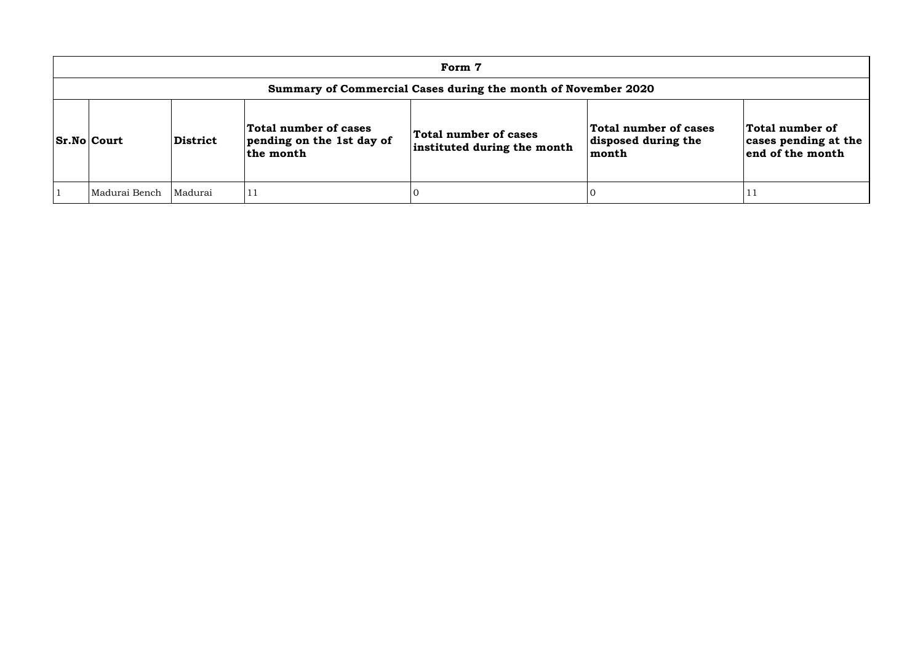| Form 7                                                        |          |                                                                 |                                                      |                                                       |                                                             |  |  |  |  |  |
|---------------------------------------------------------------|----------|-----------------------------------------------------------------|------------------------------------------------------|-------------------------------------------------------|-------------------------------------------------------------|--|--|--|--|--|
| Summary of Commercial Cases during the month of November 2020 |          |                                                                 |                                                      |                                                       |                                                             |  |  |  |  |  |
| <b>Sr.No Court</b>                                            | District | Total number of cases<br>pending on the 1st day of<br>the month | Total number of cases<br>instituted during the month | Total number of cases<br>disposed during the<br>month | Total number of<br>cases pending at the<br>end of the month |  |  |  |  |  |
| Madurai Bench                                                 | Madurai  | l 1 1                                                           |                                                      |                                                       | T T                                                         |  |  |  |  |  |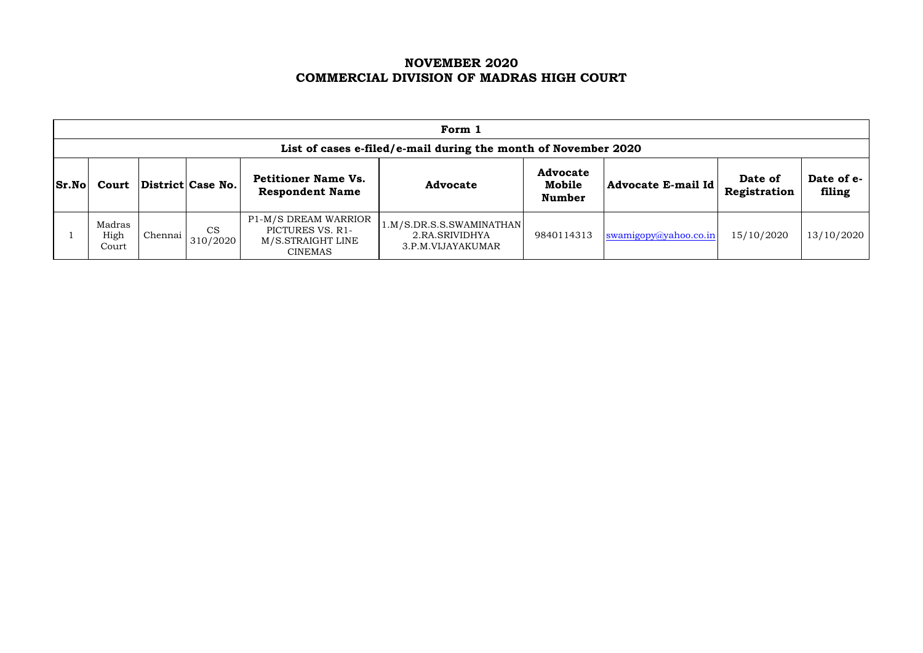# **NOVEMBER 2020 COMMERCIAL DIVISION OF MADRAS HIGH COURT**

|              | Form 1                                                         |         |                       |                                                                                 |                                                                 |                                            |                       |                         |                      |  |  |  |
|--------------|----------------------------------------------------------------|---------|-----------------------|---------------------------------------------------------------------------------|-----------------------------------------------------------------|--------------------------------------------|-----------------------|-------------------------|----------------------|--|--|--|
|              | List of cases e-filed/e-mail during the month of November 2020 |         |                       |                                                                                 |                                                                 |                                            |                       |                         |                      |  |  |  |
| <b>Sr.No</b> | Court                                                          |         | District Case No.     | <b>Petitioner Name Vs.</b><br><b>Respondent Name</b>                            | <b>Advocate</b>                                                 | <b>Advocate</b><br>Mobile<br><b>Number</b> | Advocate E-mail Id    | Date of<br>Registration | Date of e-<br>filing |  |  |  |
|              | Madras<br>High<br>Court                                        | Chennai | <b>CS</b><br>310/2020 | P1-M/S DREAM WARRIOR<br>PICTURES VS. R1-<br>M/S.STRAIGHT LINE<br><b>CINEMAS</b> | 1.M/S.DR.S.S.SWAMINATHAN<br>2.RA.SRIVIDHYA<br>3.P.M.VIJAYAKUMAR | 9840114313                                 | swamigopy@yahoo.co.in | 15/10/2020              | 13/10/2020           |  |  |  |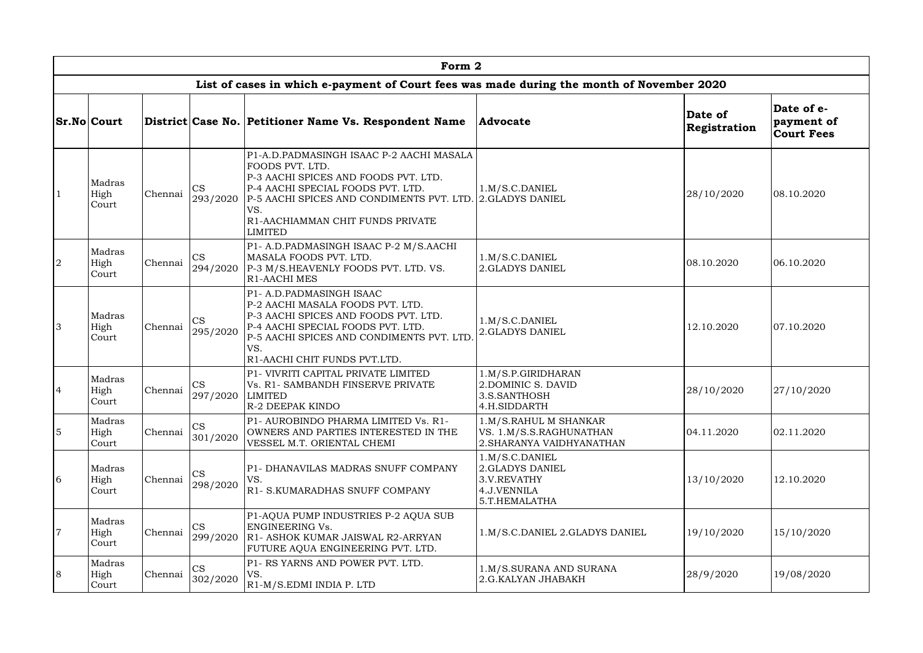|                | Form 2                  |         |                       |                                                                                                                                                                                                                                                                    |                                                                                  |                         |                                               |  |  |  |  |  |  |
|----------------|-------------------------|---------|-----------------------|--------------------------------------------------------------------------------------------------------------------------------------------------------------------------------------------------------------------------------------------------------------------|----------------------------------------------------------------------------------|-------------------------|-----------------------------------------------|--|--|--|--|--|--|
|                |                         |         |                       | List of cases in which e-payment of Court fees was made during the month of November 2020                                                                                                                                                                          |                                                                                  |                         |                                               |  |  |  |  |  |  |
|                | <b>Sr.No Court</b>      |         |                       | District Case No. Petitioner Name Vs. Respondent Name                                                                                                                                                                                                              | <b>Advocate</b>                                                                  | Date of<br>Registration | Date of e-<br>payment of<br><b>Court Fees</b> |  |  |  |  |  |  |
|                | Madras<br>High<br>Court | Chennai | <b>CS</b><br>293/2020 | P1-A.D.PADMASINGH ISAAC P-2 AACHI MASALA<br>FOODS PVT. LTD.<br>P-3 AACHI SPICES AND FOODS PVT. LTD.<br>P-4 AACHI SPECIAL FOODS PVT. LTD.<br>P-5 AACHI SPICES AND CONDIMENTS PVT. LTD. 2.GLADYS DANIEL<br>VS.<br>R1-AACHIAMMAN CHIT FUNDS PRIVATE<br><b>LIMITED</b> | 1.M/S.C.DANIEL                                                                   | 28/10/2020              | 08.10.2020                                    |  |  |  |  |  |  |
| $\overline{2}$ | Madras<br>High<br>Court | Chennai | <b>CS</b><br>294/2020 | P1- A.D.PADMASINGH ISAAC P-2 M/S.AACHI<br>MASALA FOODS PVT. LTD.<br>P-3 M/S.HEAVENLY FOODS PVT. LTD. VS.<br><b>R1-AACHI MES</b>                                                                                                                                    | 1.M/S.C.DANIEL<br>2.GLADYS DANIEL                                                | 08.10.2020              | 06.10.2020                                    |  |  |  |  |  |  |
| 3              | Madras<br>High<br>Court | Chennai | <b>CS</b><br>295/2020 | P1- A.D.PADMASINGH ISAAC<br>P-2 AACHI MASALA FOODS PVT. LTD.<br>P-3 AACHI SPICES AND FOODS PVT. LTD.<br>P-4 AACHI SPECIAL FOODS PVT. LTD.<br>P-5 AACHI SPICES AND CONDIMENTS PVT. LTD<br>VS.<br>R1-AACHI CHIT FUNDS PVT.LTD.                                       | 1.M/S.C.DANIEL<br>2.GLADYS DANIEL                                                | 12.10.2020              | 07.10.2020                                    |  |  |  |  |  |  |
| 4              | Madras<br>High<br>Court | Chennai | CS<br>297/2020        | P1- VIVRITI CAPITAL PRIVATE LIMITED<br>Vs. R1- SAMBANDH FINSERVE PRIVATE<br><b>LIMITED</b><br>R-2 DEEPAK KINDO                                                                                                                                                     | 1.M/S.P.GIRIDHARAN<br>2. DOMINIC S. DAVID<br>3.S.SANTHOSH<br>4.H.SIDDARTH        | 28/10/2020              | 27/10/2020                                    |  |  |  |  |  |  |
| 5              | Madras<br>High<br>Court | Chennai | CS<br>301/2020        | P1- AUROBINDO PHARMA LIMITED Vs. R1-<br>OWNERS AND PARTIES INTERESTED IN THE<br>VESSEL M.T. ORIENTAL CHEMI                                                                                                                                                         | 1.M/S.RAHUL M SHANKAR<br>VS. 1.M/S.S.RAGHUNATHAN<br>2. SHARANYA VAIDHYANATHAN    | 04.11.2020              | 02.11.2020                                    |  |  |  |  |  |  |
| 6              | Madras<br>High<br>Court | Chennai | <b>CS</b><br>298/2020 | P1- DHANAVILAS MADRAS SNUFF COMPANY<br>VS.<br>R1- S.KUMARADHAS SNUFF COMPANY                                                                                                                                                                                       | 1.M/S.C.DANIEL<br>2.GLADYS DANIEL<br>3.V.REVATHY<br>4.J.VENNILA<br>5.T.HEMALATHA | 13/10/2020              | 12.10.2020                                    |  |  |  |  |  |  |
| $\overline{7}$ | Madras<br>High<br>Court | Chennai | <b>CS</b><br>299/2020 | P1-AQUA PUMP INDUSTRIES P-2 AQUA SUB<br><b>ENGINEERING Vs.</b><br>R1- ASHOK KUMAR JAISWAL R2-ARRYAN<br>FUTURE AQUA ENGINEERING PVT. LTD.                                                                                                                           | 1.M/S.C.DANIEL 2.GLADYS DANIEL                                                   | 19/10/2020              | 15/10/2020                                    |  |  |  |  |  |  |
| 8              | Madras<br>High<br>Court | Chennai | CS<br>302/2020        | P1- RS YARNS AND POWER PVT. LTD.<br>VS.<br>R <sub>1</sub> -M/S.EDMI INDIA P. LTD                                                                                                                                                                                   | 1.M/S.SURANA AND SURANA<br>2.G.KALYAN JHABAKH                                    | 28/9/2020               | 19/08/2020                                    |  |  |  |  |  |  |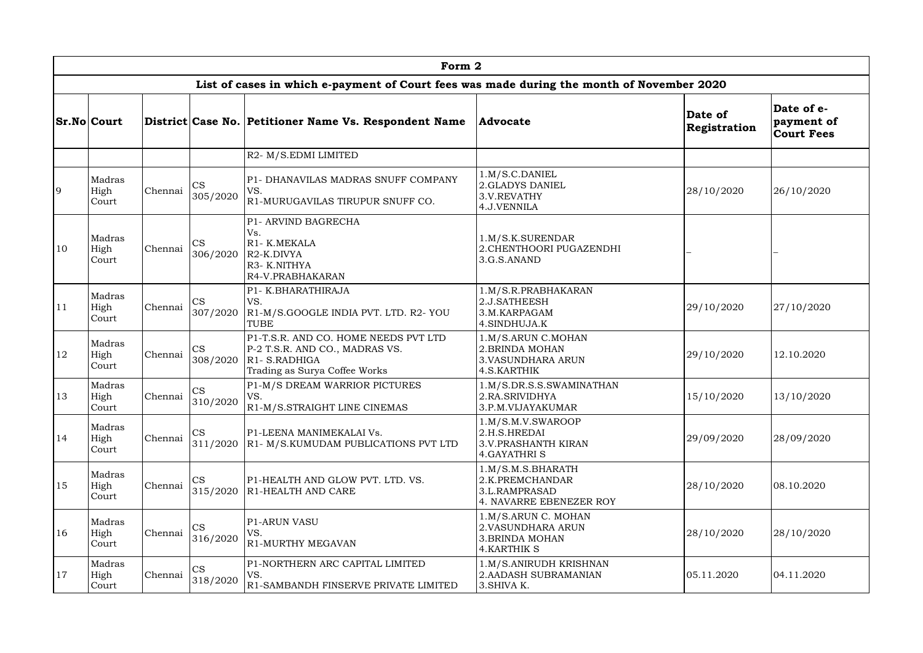|               |                         |         |                                                                           | Form 2                                                                                                                               |                                                                                           |                         |                                               |
|---------------|-------------------------|---------|---------------------------------------------------------------------------|--------------------------------------------------------------------------------------------------------------------------------------|-------------------------------------------------------------------------------------------|-------------------------|-----------------------------------------------|
|               |                         |         |                                                                           | List of cases in which e-payment of Court fees was made during the month of November 2020                                            |                                                                                           |                         |                                               |
|               | <b>Sr.No Court</b>      |         |                                                                           | District Case No. Petitioner Name Vs. Respondent Name                                                                                | <b>Advocate</b>                                                                           | Date of<br>Registration | Date of e-<br>payment of<br><b>Court Fees</b> |
|               |                         |         |                                                                           | R2- M/S.EDMI LIMITED                                                                                                                 |                                                                                           |                         |                                               |
| 9             | Madras<br>High<br>Court | Chennai | <b>CS</b><br>305/2020                                                     | P1- DHANAVILAS MADRAS SNUFF COMPANY<br>VS.<br>R1-MURUGAVILAS TIRUPUR SNUFF CO.                                                       | 1.M/S.C.DANIEL<br>2.GLADYS DANIEL<br>3.V.REVATHY<br>4.J.VENNILA                           | 28/10/2020              | 26/10/2020                                    |
| <sup>10</sup> | Madras<br>High<br>Court | Chennai | <b>CS</b><br>306/2020                                                     | P1- ARVIND BAGRECHA<br>Vs.<br>R1-K.MEKALA<br>R <sub>2</sub> -K.DIVYA<br>R3- K.NITHYA<br>R4-V.PRABHAKARAN                             | 1.M/S.K.SURENDAR<br>2. CHENTHOORI PUGAZENDHI<br>3.G.S.ANAND                               |                         |                                               |
| <sup>11</sup> | Madras<br>High<br>Court | Chennai | <b>CS</b><br>307/2020                                                     | P1- K.BHARATHIRAJA<br>VS.<br>R1-M/S.GOOGLE INDIA PVT. LTD. R2- YOU<br><b>TUBE</b>                                                    | 1.M/S.R.PRABHAKARAN<br>2.J.SATHEESH<br>3.M.KARPAGAM<br>4.SINDHUJA.K                       | 29/10/2020              | 27/10/2020                                    |
| <sup>12</sup> | Madras<br>High<br>Court | Chennai | <b>CS</b><br>308/2020                                                     | P1-T.S.R. AND CO. HOME NEEDS PVT LTD<br>P-2 T.S.R. AND CO., MADRAS VS.<br>R <sub>1</sub> -S.RADHIGA<br>Trading as Surya Coffee Works | 1.M/S.ARUN C.MOHAN<br>2. BRINDA MOHAN<br><b>3.VASUNDHARA ARUN</b><br>4.S.KARTHIK          | 29/10/2020              | 12.10.2020                                    |
| 13            | Madras<br>High<br>Court |         | <b>CS</b><br>Chennai $\begin{vmatrix} 0 & 0 \\ 3 & 10/2020 \end{vmatrix}$ | P1-M/S DREAM WARRIOR PICTURES<br>VS.<br>R1-M/S.STRAIGHT LINE CINEMAS                                                                 | 1.M/S.DR.S.S.SWAMINATHAN<br>2.RA.SRIVIDHYA<br>3.P.M.VIJAYAKUMAR                           | 15/10/2020              | 13/10/2020                                    |
| 14            | Madras<br>High<br>Court | Chennai | <b>CS</b><br>311/2020                                                     | P1-LEENA MANIMEKALAI Vs.<br>R1- M/S.KUMUDAM PUBLICATIONS PVT LTD                                                                     | 1.M/S.M.V.SWAROOP<br>2.H.S.HREDAI<br><b>3.V.PRASHANTH KIRAN</b><br><b>4. GAYATHRI S</b>   | 29/09/2020              | 28/09/2020                                    |
| 15            | Madras<br>High<br>Court | Chennai | <b>CS</b><br>315/2020                                                     | P1-HEALTH AND GLOW PVT. LTD. VS.<br>R1-HEALTH AND CARE                                                                               | 1.M/S.M.S.BHARATH<br>2.K.PREMCHANDAR<br>3.L.RAMPRASAD<br>4. NAVARRE EBENEZER ROY          | 28/10/2020              | 08.10.2020                                    |
| <sup>16</sup> | Madras<br>High<br>Court | Chennai | <b>CS</b><br>316/2020                                                     | <b>P1-ARUN VASU</b><br>VS.<br>R1-MURTHY MEGAVAN                                                                                      | 1.M/S.ARUN C. MOHAN<br>2. VASUNDHARA ARUN<br><b>3. BRINDA MOHAN</b><br><b>4.KARTHIK S</b> | 28/10/2020              | 28/10/2020                                    |
| 17            | Madras<br>High<br>Court | Chennai | <b>CS</b><br>318/2020                                                     | P1-NORTHERN ARC CAPITAL LIMITED<br>VS.<br>R1-SAMBANDH FINSERVE PRIVATE LIMITED                                                       | 1.M/S.ANIRUDH KRISHNAN<br>2. AADASH SUBRAMANIAN<br>3. SHIVA K.                            | 05.11.2020              | 04.11.2020                                    |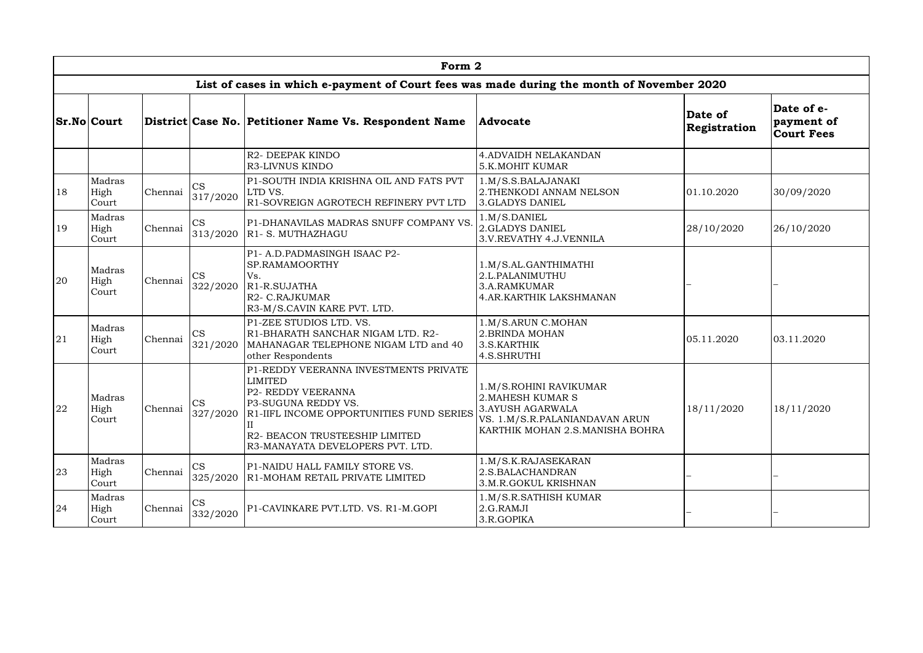|               |                         |         |                       | Form 2                                                                                                                                                                                                                 |                                                                                                                                                    |                         |                                               |
|---------------|-------------------------|---------|-----------------------|------------------------------------------------------------------------------------------------------------------------------------------------------------------------------------------------------------------------|----------------------------------------------------------------------------------------------------------------------------------------------------|-------------------------|-----------------------------------------------|
|               |                         |         |                       | List of cases in which e-payment of Court fees was made during the month of November 2020                                                                                                                              |                                                                                                                                                    |                         |                                               |
|               | <b>Sr.No Court</b>      |         |                       | District Case No. Petitioner Name Vs. Respondent Name                                                                                                                                                                  | <b>Advocate</b>                                                                                                                                    | Date of<br>Registration | Date of e-<br>payment of<br><b>Court Fees</b> |
|               |                         |         |                       | R2- DEEPAK KINDO<br>R3-LIVNUS KINDO                                                                                                                                                                                    | <b>4. ADVAIDH NELAKANDAN</b><br><b>5.K.MOHIT KUMAR</b>                                                                                             |                         |                                               |
| 18            | Madras<br>High<br>Court | Chennai | <b>CS</b><br>317/2020 | P1-SOUTH INDIA KRISHNA OIL AND FATS PVT<br>LTD VS.<br>R1-SOVREIGN AGROTECH REFINERY PVT LTD                                                                                                                            | 1.M/S.S.BALAJANAKI<br>2. THENKODI ANNAM NELSON<br><b>3.GLADYS DANIEL</b>                                                                           | 01.10.2020              | 30/09/2020                                    |
| <sup>19</sup> | Madras<br>High<br>Court | Chennai | CS<br>313/2020        | P1-DHANAVILAS MADRAS SNUFF COMPANY VS<br>R1- S. MUTHAZHAGU                                                                                                                                                             | 1.M/S.DANIEL<br>2.GLADYS DANIEL<br>3.V.REVATHY 4.J.VENNILA                                                                                         | 28/10/2020              | 26/10/2020                                    |
| 20            | Madras<br>High<br>Court | Chennai | <b>CS</b><br>322/2020 | P1- A.D.PADMASINGH ISAAC P2-<br>SP.RAMAMOORTHY<br>Vs.<br>R <sub>1</sub> -R.SUJATHA<br>R <sub>2</sub> - C.RAJKUMAR<br>R3-M/S.CAVIN KARE PVT. LTD.                                                                       | 1.M/S.AL.GANTHIMATHI<br>2.L.PALANIMUTHU<br>3.A.RAMKUMAR<br>4.AR.KARTHIK LAKSHMANAN                                                                 |                         |                                               |
| 21            | Madras<br>High<br>Court | Chennai | CS<br>321/2020        | P1-ZEE STUDIOS LTD. VS.<br>R1-BHARATH SANCHAR NIGAM LTD. R2-<br>MAHANAGAR TELEPHONE NIGAM LTD and 40<br>other Respondents                                                                                              | 1.M/S.ARUN C.MOHAN<br>2. BRINDA MOHAN<br>3.S.KARTHIK<br>4.S.SHRUTHI                                                                                | 05.11.2020              | 03.11.2020                                    |
| 22            | Madras<br>High<br>Court | Chennai | <b>CS</b><br>327/2020 | P1-REDDY VEERANNA INVESTMENTS PRIVATE<br><b>LIMITED</b><br>P2- REDDY VEERANNA<br>P3-SUGUNA REDDY VS.<br>R1-IIFL INCOME OPPORTUNITIES FUND SERIES<br>R2- BEACON TRUSTEESHIP LIMITED<br>R3-MANAYATA DEVELOPERS PVT. LTD. | 1.M/S.ROHINI RAVIKUMAR<br><b>2. MAHESH KUMAR S</b><br><b>3.AYUSH AGARWALA</b><br>VS. 1.M/S.R.PALANIANDAVAN ARUN<br>KARTHIK MOHAN 2.S.MANISHA BOHRA | 18/11/2020              | 18/11/2020                                    |
| 23            | Madras<br>High<br>Court | Chennai | <b>CS</b><br>325/2020 | P1-NAIDU HALL FAMILY STORE VS.<br>R1-MOHAM RETAIL PRIVATE LIMITED                                                                                                                                                      | 1.M/S.K.RAJASEKARAN<br>2.S.BALACHANDRAN<br>3.M.R.GOKUL KRISHNAN                                                                                    |                         |                                               |
| 24            | Madras<br>High<br>Court | Chennai | <b>CS</b><br>332/2020 | P1-CAVINKARE PVT.LTD. VS. R1-M.GOPI                                                                                                                                                                                    | 1.M/S.R.SATHISH KUMAR<br>2.G.RAMJI<br>3.R.GOPIKA                                                                                                   |                         |                                               |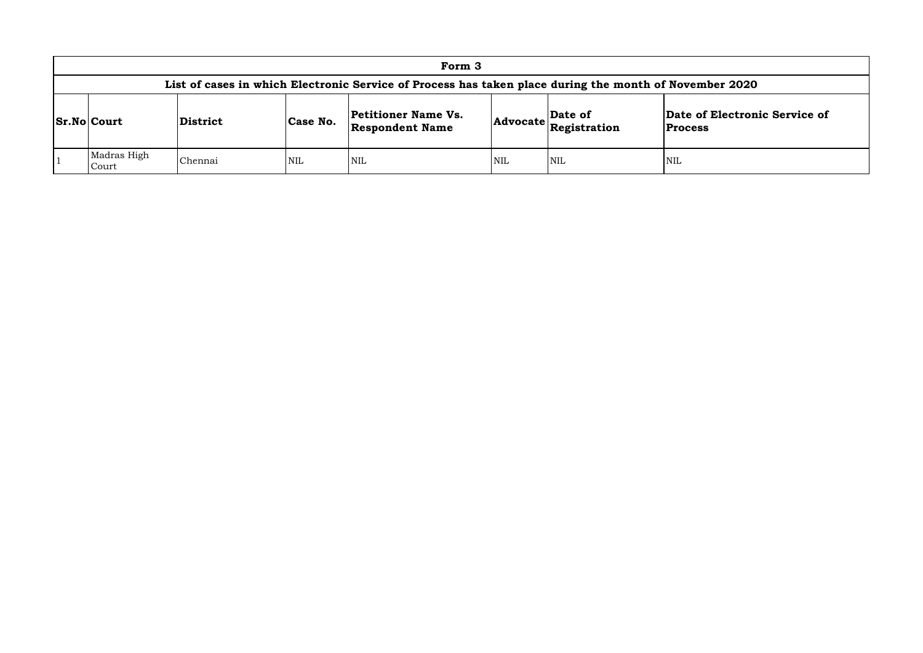|                                                                                                | Form 3   |                                                                  |     |            |                                                                                                            |                         |  |  |  |  |  |  |  |
|------------------------------------------------------------------------------------------------|----------|------------------------------------------------------------------|-----|------------|------------------------------------------------------------------------------------------------------------|-------------------------|--|--|--|--|--|--|--|
| List of cases in which Electronic Service of Process has taken place during the month of Nover |          |                                                                  |     |            |                                                                                                            |                         |  |  |  |  |  |  |  |
| <b>Sr.No Court</b>                                                                             | District | <b>Petitioner Name Vs.</b><br>Case No.<br><b>Respondent Name</b> |     |            | $\begin{array}{ c c }\n\hline \text{Advocate} & \text{Date of} \\ \hline \text{Resistration}\n\end{array}$ | Date o<br><b>Proces</b> |  |  |  |  |  |  |  |
| Madras High<br>Court                                                                           | Chennai  | <b>NIL</b>                                                       | NIL | <b>NIL</b> | NIL                                                                                                        | <b>NIL</b>              |  |  |  |  |  |  |  |

## **List of Cream Cream Cream C**

## **of Electronic Service of**

**Process**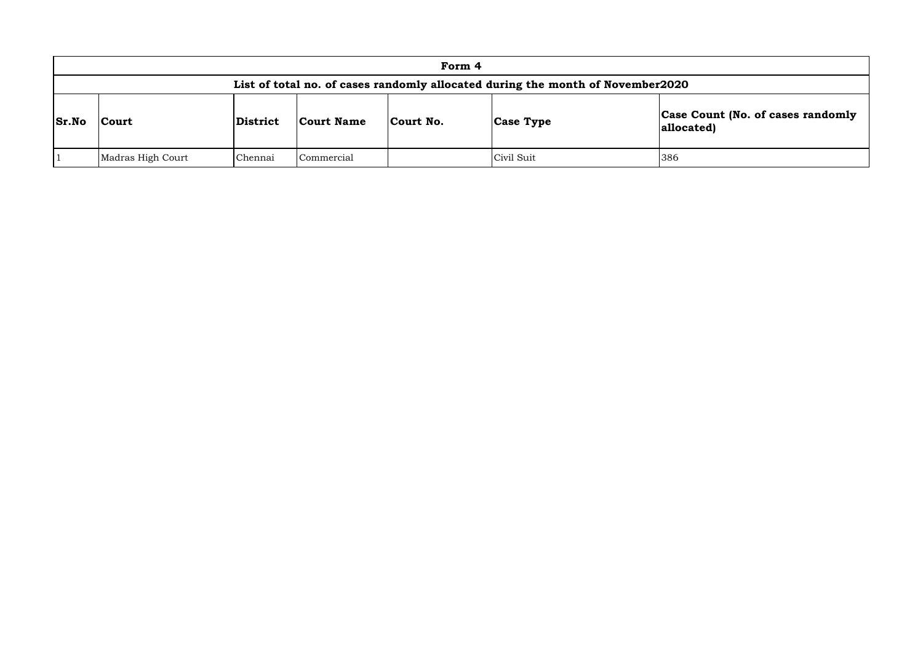|              |                                                                                | Form 4   |            |           |                  |                          |  |  |  |  |  |  |
|--------------|--------------------------------------------------------------------------------|----------|------------|-----------|------------------|--------------------------|--|--|--|--|--|--|
|              | List of total no. of cases randomly allocated during the month of November2020 |          |            |           |                  |                          |  |  |  |  |  |  |
| <b>Sr.No</b> | Court                                                                          | District | Court Name | Court No. | <b>Case Type</b> | <b>Case C</b><br>allocat |  |  |  |  |  |  |
|              | Madras High Court                                                              | Chennai  | Commercial |           | Civil Suit       | 386                      |  |  |  |  |  |  |

# **Count (No. of cases randomly** ted)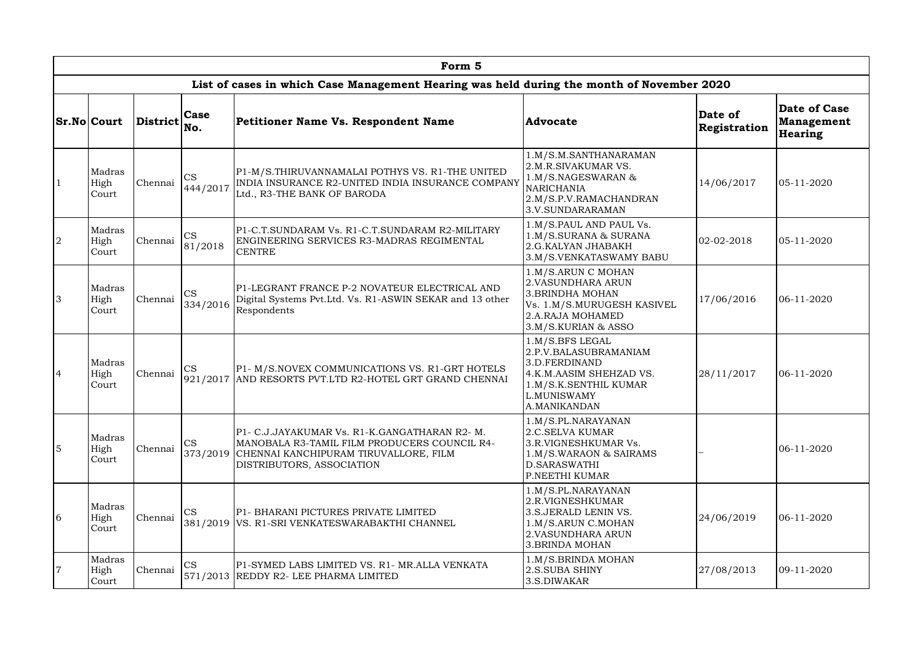|                |                                                                                                                                           |                                                                                                                                                                                                                             |                                                     | Form 5                                                                                                                                                                       |                                                                                                                                                     |                         |                                                     |
|----------------|-------------------------------------------------------------------------------------------------------------------------------------------|-----------------------------------------------------------------------------------------------------------------------------------------------------------------------------------------------------------------------------|-----------------------------------------------------|------------------------------------------------------------------------------------------------------------------------------------------------------------------------------|-----------------------------------------------------------------------------------------------------------------------------------------------------|-------------------------|-----------------------------------------------------|
|                |                                                                                                                                           |                                                                                                                                                                                                                             |                                                     | List of cases in which Case Management Hearing was held during the month of November 2020                                                                                    |                                                                                                                                                     |                         |                                                     |
|                | <b>Sr.No Court</b>                                                                                                                        | $ {\rm District} _{\rm No.}^{\sim}$                                                                                                                                                                                         | <b>Case</b>                                         | Petitioner Name Vs. Respondent Name                                                                                                                                          | Advocate                                                                                                                                            | Date of<br>Registration | Date of Case<br><b>Management</b><br><b>Hearing</b> |
|                | Madras<br>High<br>Court                                                                                                                   | P1-M/S. THIRUVANNAMALAI POTHYS VS. R1-THE UNITED<br><b>CS</b><br>INDIA INSURANCE R2-UNITED INDIA INSURANCE COMPANY<br>Chennai<br>444/2017<br>Ltd., R3-THE BANK OF BARODA<br>P1-C.T.SUNDARAM Vs. R1-C.T.SUNDARAM R2-MILITARY |                                                     | 1.M/S.M.SANTHANARAMAN<br>2.M.R.SIVAKUMAR VS.<br>1.M/S.NAGESWARAN &<br><b>NARICHANIA</b><br>2.M/S.P.V.RAMACHANDRAN<br>3.V.SUNDARARAMAN                                        | 14/06/2017                                                                                                                                          | 05-11-2020              |                                                     |
| 2              | Madras<br>High<br>Court                                                                                                                   | <b>CS</b><br>Chennai<br>ENGINEERING SERVICES R3-MADRAS REGIMENTAL<br>81/2018<br><b>CENTRE</b>                                                                                                                               |                                                     | 1.M/S.PAUL AND PAUL Vs.<br>1.M/S.SURANA & SURANA<br>2.G.KALYAN JHABAKH<br>3.M/S.VENKATASWAMY BABU                                                                            | $02 - 02 - 2018$                                                                                                                                    | 05-11-2020              |                                                     |
| 3              | Madras<br>High<br>Court                                                                                                                   | Chennai                                                                                                                                                                                                                     | <b>CS</b><br>334/2016                               | P1-LEGRANT FRANCE P-2 NOVATEUR ELECTRICAL AND<br>Digital Systems Pvt.Ltd. Vs. R1-ASWIN SEKAR and 13 other<br>Respondents                                                     | 1.M/S.ARUN C MOHAN<br>2. VASUNDHARA ARUN<br>3.BRINDHA MOHAN<br>Vs. 1.M/S.MURUGESH KASIVEL<br>2.A.RAJA MOHAMED<br>3.M/S.KURIAN & ASSO                | 17/06/2016              | $06 - 11 - 2020$                                    |
| $\overline{4}$ | Madras<br>High<br>Court                                                                                                                   | Chennai                                                                                                                                                                                                                     | <b>CS</b><br>921/2017                               | P1- M/S.NOVEX COMMUNICATIONS VS. R1-GRT HOTELS<br>AND RESORTS PVT.LTD R2-HOTEL GRT GRAND CHENNAI                                                                             | 1.M/S.BFS LEGAL<br>2.P.V.BALASUBRAMANIAM<br>3.D.FERDINAND<br>4.K.M.AASIM SHEHZAD VS.<br>1.M/S.K.SENTHIL KUMAR<br><b>L.MUNISWAMY</b><br>A.MANIKANDAN | 28/11/2017              | 06-11-2020                                          |
| $\overline{5}$ | Madras<br>High<br>Court                                                                                                                   | Chennai                                                                                                                                                                                                                     | <b>CS</b>                                           | P1- C.J.JAYAKUMAR Vs. R1-K.GANGATHARAN R2- M.<br>MANOBALA R3-TAMIL FILM PRODUCERS COUNCIL R4-<br>373/2019 CHENNAI KANCHIPURAM TIRUVALLORE, FILM<br>DISTRIBUTORS, ASSOCIATION | 1.M/S.PL.NARAYANAN<br><b>2.C.SELVA KUMAR</b><br>3.R.VIGNESHKUMAR Vs.<br>1.M/S.WARAON & SAIRAMS<br>D.SARASWATHI<br>P.NEETHI KUMAR                    |                         | 06-11-2020                                          |
| 6              | Madras<br>High<br>Court                                                                                                                   | Chennai                                                                                                                                                                                                                     | <b>CS</b>                                           | P1- BHARANI PICTURES PRIVATE LIMITED<br>381/2019   VS. R1-SRI VENKATESWARABAKTHI CHANNEL                                                                                     | 1.M/S.PL.NARAYANAN<br>2.R.VIGNESHKUMAR<br>3.S. JERALD LENIN VS.<br>1.M/S.ARUN C.MOHAN<br>2. VASUNDHARA ARUN<br><b>3.BRINDA MOHAN</b>                | 24/06/2019              | 06-11-2020                                          |
| $\overline{7}$ | Madras<br><b>CS</b><br>P1-SYMED LABS LIMITED VS. R1- MR.ALLA VENKATA<br>High<br>Chennai<br>571/2013 REDDY R2- LEE PHARMA LIMITED<br>Court |                                                                                                                                                                                                                             | 1.M/S.BRINDA MOHAN<br>2.S.SUBA SHINY<br>3.S.DIWAKAR | 27/08/2013                                                                                                                                                                   | 09-11-2020                                                                                                                                          |                         |                                                     |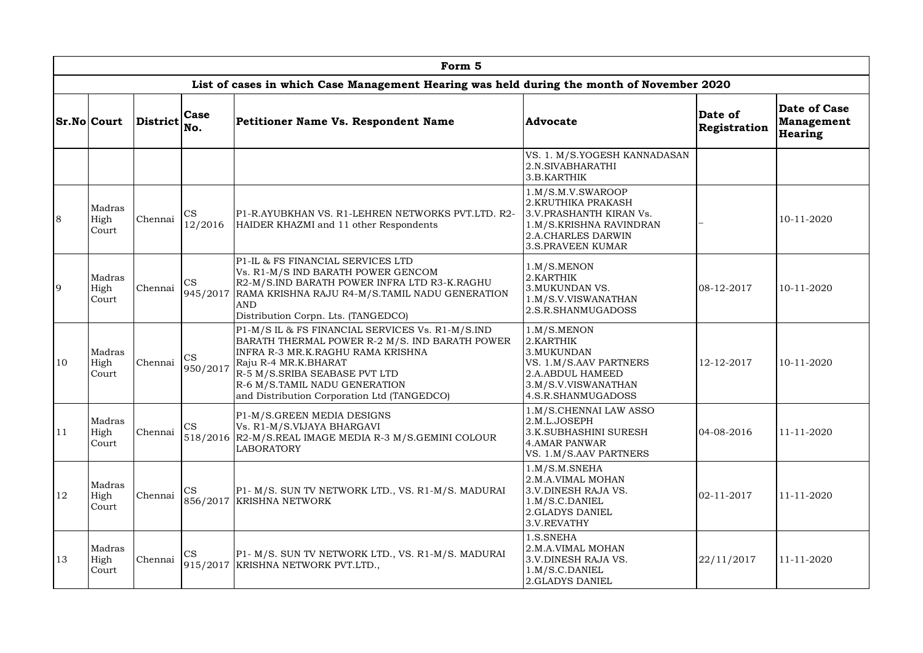|               |                         |                                                            |                       | Form 5                                                                                                                                                                                                                                                                           |                                                                                                                                                  |                         |                                                            |
|---------------|-------------------------|------------------------------------------------------------|-----------------------|----------------------------------------------------------------------------------------------------------------------------------------------------------------------------------------------------------------------------------------------------------------------------------|--------------------------------------------------------------------------------------------------------------------------------------------------|-------------------------|------------------------------------------------------------|
|               |                         |                                                            |                       | List of cases in which Case Management Hearing was held during the month of November 2020                                                                                                                                                                                        |                                                                                                                                                  |                         |                                                            |
|               | <b>Sr.No Court</b>      | $ Distriet _{No.}^{\sim}$                                  | <b>Case</b>           | Petitioner Name Vs. Respondent Name                                                                                                                                                                                                                                              | Advocate                                                                                                                                         | Date of<br>Registration | <b>Date of Case</b><br><b>Management</b><br><b>Hearing</b> |
|               |                         |                                                            |                       |                                                                                                                                                                                                                                                                                  | VS. 1. M/S.YOGESH KANNADASAN<br>2.N.SIVABHARATHI<br>3.B.KARTHIK                                                                                  |                         |                                                            |
| 8             | Madras<br>High<br>Court | Chennai                                                    | <b>CS</b><br>12/2016  | P1-R.AYUBKHAN VS. R1-LEHREN NETWORKS PVT.LTD. R2-<br>HAIDER KHAZMI and 11 other Respondents                                                                                                                                                                                      | 1.M/S.M.V.SWAROOP<br>2. KRUTHIKA PRAKASH<br>3.V.PRASHANTH KIRAN Vs.<br>1.M/S.KRISHNA RAVINDRAN<br>2.A.CHARLES DARWIN<br><b>3.S.PRAVEEN KUMAR</b> |                         | 10-11-2020                                                 |
| 9             | Madras<br>High<br>Court | Chennai                                                    | <b>CS</b><br>945/2017 | P1-IL & FS FINANCIAL SERVICES LTD<br>Vs. R1-M/S IND BARATH POWER GENCOM<br>R2-M/S.IND BARATH POWER INFRA LTD R3-K.RAGHU<br>RAMA KRISHNA RAJU R4-M/S.TAMIL NADU GENERATION<br><b>AND</b><br>Distribution Corpn. Lts. (TANGEDCO)                                                   | 1.M/S.MENDN<br>2.KARTHIK<br>3. MUKUNDAN VS.<br>1.M/S.V.VISWANATHAN<br>2.S.R.SHANMUGADOSS                                                         | $08-12-2017$            | 10-11-2020                                                 |
| <sup>10</sup> | Madras<br>High<br>Court | Chennai                                                    | <b>CS</b><br>950/2017 | P1-M/S IL & FS FINANCIAL SERVICES Vs. R1-M/S.IND<br>BARATH THERMAL POWER R-2 M/S. IND BARATH POWER<br>INFRA R-3 MR.K.RAGHU RAMA KRISHNA<br>Raju R-4 MR.K.BHARAT<br>R-5 M/S.SRIBA SEABASE PVT LTD<br>R-6 M/S.TAMIL NADU GENERATION<br>and Distribution Corporation Ltd (TANGEDCO) | 1.M/S.MEND<br>2.KARTHIK<br>3. MUKUNDAN<br>VS. 1.M/S.AAV PARTNERS<br>2.A.ABDUL HAMEED<br>3.M/S.V.VISWANATHAN<br>4.S.R.SHANMUGADOSS                | 12-12-2017              | 10-11-2020                                                 |
| 11            | Madras<br>High<br>Court | Chennai                                                    | CS                    | P1-M/S.GREEN MEDIA DESIGNS<br>Vs. R1-M/S.VIJAYA BHARGAVI<br>518/2016 R2-M/S.REAL IMAGE MEDIA R-3 M/S.GEMINI COLOUR<br><b>LABORATORY</b>                                                                                                                                          | 1.M/S.CHENNAI LAW ASSO<br>2.M.L.JOSEPH<br>3.K.SUBHASHINI SURESH<br>4.AMAR PANWAR<br>VS. 1.M/S.AAV PARTNERS                                       | $ 04-08-2016 $          | 11-11-2020                                                 |
| <sup>12</sup> | Madras<br>High<br>Court | Chennai                                                    | <b>CS</b>             | [P1- M/S. SUN TV NETWORK LTD., VS. R1-M/S. MADURAI<br>856/2017 KRISHNA NETWORK                                                                                                                                                                                                   | 1.M/S.M.SNEHA<br>2.M.A.VIMAL MOHAN<br>3.V.DINESH RAJA VS.<br>1.M/S.C.DANIEL<br>2.GLADYS DANIEL<br>3.V.REVATHY                                    | $02 - 11 - 2017$        | 11-11-2020                                                 |
| 13            | Madras<br>High<br>Court | <b>CS</b><br>Chennai<br>915/2017 KRISHNA NETWORK PVT.LTD., |                       | P1- M/S. SUN TV NETWORK LTD., VS. R1-M/S. MADURAI                                                                                                                                                                                                                                | 1.S.SNEHA<br>2.M.A.VIMAL MOHAN<br>3.V.DINESH RAJA VS.<br>1.M/S.C.DANIEL<br>2.GLADYS DANIEL                                                       | 22/11/2017              | 11-11-2020                                                 |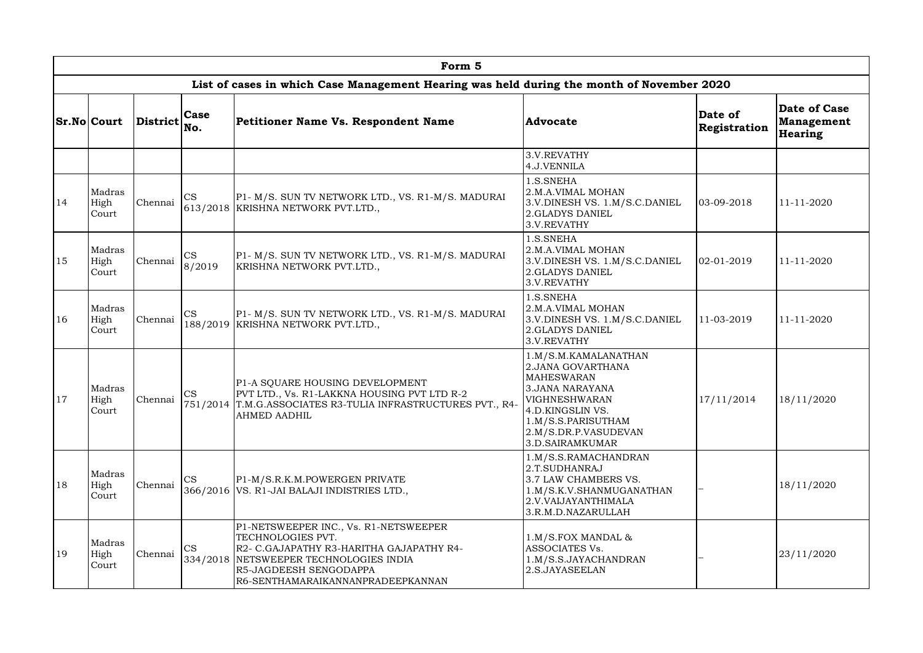|               |                         |                      |                     | Form 5                                                                                                                                                                                                          |                                                                                                                                                                                                 |                         |                                                            |
|---------------|-------------------------|----------------------|---------------------|-----------------------------------------------------------------------------------------------------------------------------------------------------------------------------------------------------------------|-------------------------------------------------------------------------------------------------------------------------------------------------------------------------------------------------|-------------------------|------------------------------------------------------------|
|               |                         |                      |                     | List of cases in which Case Management Hearing was held during the month of November 2020                                                                                                                       |                                                                                                                                                                                                 |                         |                                                            |
|               | <b>Sr.No Court</b>      | District Case<br>No. |                     | Petitioner Name Vs. Respondent Name                                                                                                                                                                             | Advocate                                                                                                                                                                                        | Date of<br>Registration | <b>Date of Case</b><br><b>Management</b><br><b>Hearing</b> |
|               |                         |                      |                     |                                                                                                                                                                                                                 | 3.V.REVATHY<br>4.J.VENNILA                                                                                                                                                                      |                         |                                                            |
| 14            | Madras<br>High<br>Court | Chennai              | <b>CS</b>           | P1- M/S. SUN TV NETWORK LTD., VS. R1-M/S. MADURAI<br>613/2018 KRISHNA NETWORK PVT.LTD.,                                                                                                                         | 1.S.SNEHA<br>2.M.A.VIMAL MOHAN<br>3.V.DINESH VS. 1.M/S.C.DANIEL<br>2.GLADYS DANIEL<br>3.V.REVATHY                                                                                               | 03-09-2018              | 11-11-2020                                                 |
| 15            | Madras<br>High<br>Court | Chennai              | <b>CS</b><br>8/2019 | P1- M/S. SUN TV NETWORK LTD., VS. R1-M/S. MADURAI<br>KRISHNA NETWORK PVT.LTD.,                                                                                                                                  | 1.S.SNEHA<br>2.M.A.VIMAL MOHAN<br>3.V.DINESH VS. 1.M/S.C.DANIEL<br>2.GLADYS DANIEL<br>3.V.REVATHY                                                                                               | $02 - 01 - 2019$        | 11-11-2020                                                 |
| <sup>16</sup> | Madras<br>High<br>Court | Chennai              | <b>CS</b>           | P1- M/S. SUN TV NETWORK LTD., VS. R1-M/S. MADURAI<br>188/2019 KRISHNA NETWORK PVT.LTD.,                                                                                                                         | 1.S.SNEHA<br>2.M.A.VIMAL MOHAN<br>3.V.DINESH VS. 1.M/S.C.DANIEL<br><b>2.GLADYS DANIEL</b><br>3.V.REVATHY                                                                                        | 11-03-2019              | 11-11-2020                                                 |
| <sup>17</sup> | Madras<br>High<br>Court | Chennai              | <b>CS</b>           | P1-A SQUARE HOUSING DEVELOPMENT<br>PVT LTD., Vs. R1-LAKKNA HOUSING PVT LTD R-2<br>751/2014  T.M.G.ASSOCIATES R3-TULIA INFRASTRUCTURES PVT., R4-<br><b>AHMED AADHIL</b>                                          | 1.M/S.M.KAMALANATHAN<br>2. JANA GOVARTHANA<br><b>MAHESWARAN</b><br>3.JANA NARAYANA<br><b>VIGHNESHWARAN</b><br>4.D.KINGSLIN VS.<br>1.M/S.S.PARISUTHAM<br>2.M/S.DR.P.VASUDEVAN<br>3.D.SAIRAMKUMAR | 17/11/2014              | 18/11/2020                                                 |
| 18            | Madras<br>High<br>Court | Chennai              | <b>CS</b>           | P1-M/S.R.K.M.POWERGEN PRIVATE<br>366/2016 VS. R1-JAI BALAJI INDISTRIES LTD.,                                                                                                                                    | 1.M/S.S.RAMACHANDRAN<br>2.T.SUDHANRAJ<br>3.7 LAW CHAMBERS VS.<br>1.M/S.K.V.SHANMUGANATHAN<br>2.V.VAIJAYANTHIMALA<br>3.R.M.D.NAZARULLAH                                                          |                         | 18/11/2020                                                 |
| 19            | Madras<br>High<br>Court | Chennai              | <b>CS</b>           | P1-NETSWEEPER INC., Vs. R1-NETSWEEPER<br>TECHNOLOGIES PVT.<br>R2- C.GAJAPATHY R3-HARITHA GAJAPATHY R4-<br>334/2018 NETSWEEPER TECHNOLOGIES INDIA<br>R5-JAGDEESH SENGODAPPA<br>R6-SENTHAMARAIKANNANPRADEEPKANNAN | $1.M/S.FOX MANDAL$ &<br>ASSOCIATES Vs.<br>1.M/S.S.JAYACHANDRAN<br>2.S.JAYASEELAN                                                                                                                |                         | 23/11/2020                                                 |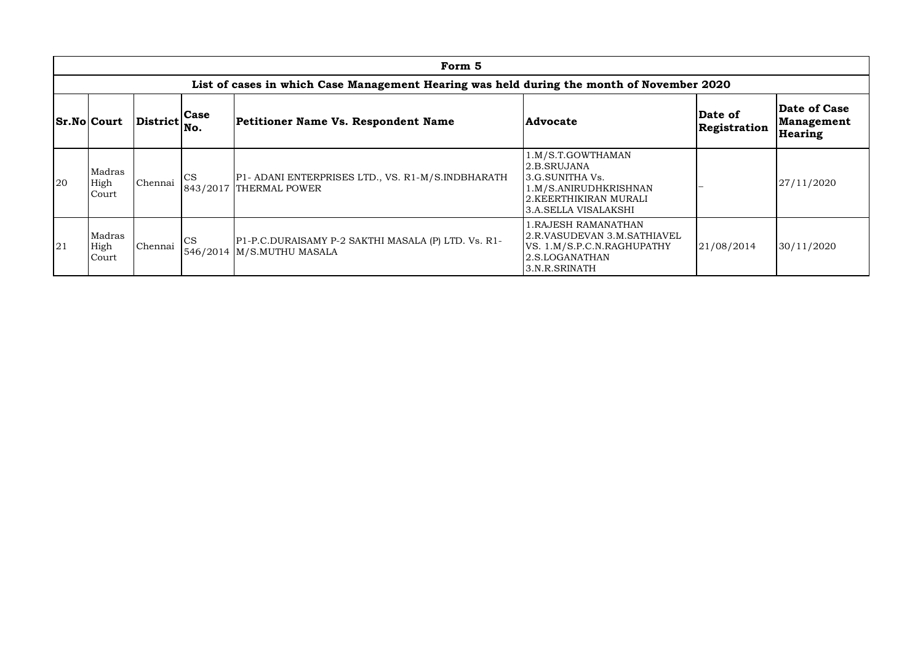|    |                                                                                           |              |                       | Form 5                                                                           |                                                                                                                               |                         |                                       |  |  |  |  |  |  |
|----|-------------------------------------------------------------------------------------------|--------------|-----------------------|----------------------------------------------------------------------------------|-------------------------------------------------------------------------------------------------------------------------------|-------------------------|---------------------------------------|--|--|--|--|--|--|
|    | List of cases in which Case Management Hearing was held during the month of November 2020 |              |                       |                                                                                  |                                                                                                                               |                         |                                       |  |  |  |  |  |  |
|    | <b>Sr.No Court</b>                                                                        | District No. | Case                  | Petitioner Name Vs. Respondent Name                                              | <b>Advocate</b>                                                                                                               | Date of<br>Registration | Date of Case<br>Management<br>Hearing |  |  |  |  |  |  |
| 20 | Madras<br>High<br>Court                                                                   | Chennai      | <b>CS</b><br>843/2017 | P1- ADANI ENTERPRISES LTD., VS. R1-M/S.INDBHARATH<br>THERMAL POWER               | 1.M/S.T.GOWTHAMAN<br>2.B.SRUJANA<br>3.G.SUNITHA Vs.<br>1.M/S.ANIRUDHKRISHNAN<br>2.KEERTHIKIRAN MURALI<br>3.A.SELLA VISALAKSHI |                         | 27/11/2020                            |  |  |  |  |  |  |
| 21 | Madras<br>High<br>Court                                                                   | Chennai      | <b>CS</b>             | P1-P.C.DURAISAMY P-2 SAKTHI MASALA (P) LTD. Vs. R1-<br>546/2014 M/S.MUTHU MASALA | 1.RAJESH RAMANATHAN<br>2.R.VASUDEVAN 3.M.SATHIAVEL<br>VS. 1.M/S.P.C.N.RAGHUPATHY<br>2.S.LOGANATHAN<br>3.N.R.SRINATH           | 21/08/2014              | 30/11/2020                            |  |  |  |  |  |  |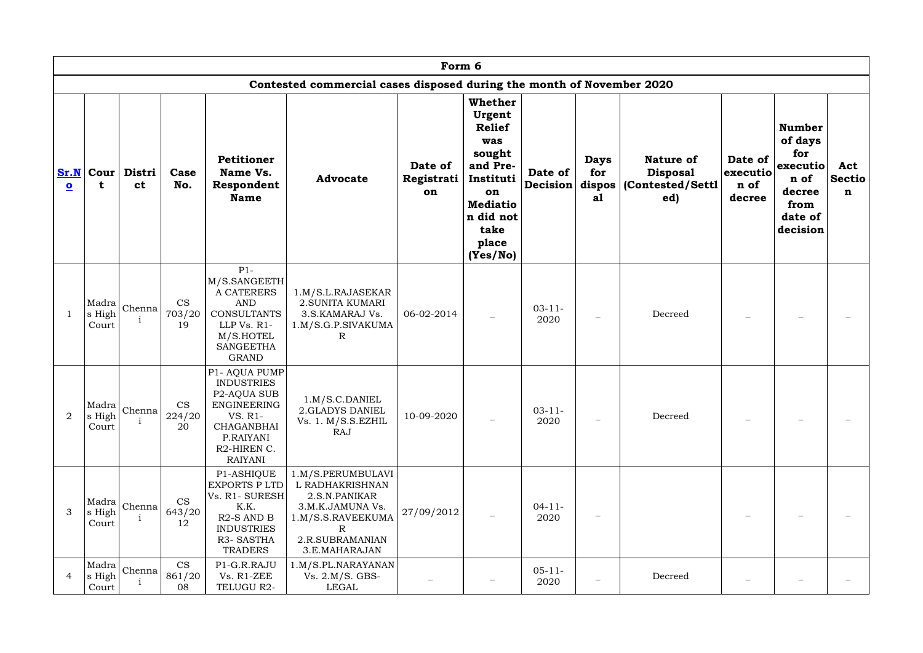|                                 | Form 6                   |                        |                           |                                                                                                                                                             |                                                                                                                                         |                             |                                                                                                                                                        |                     |                                      |                                                                |                                       |                                                                                              |                                     |
|---------------------------------|--------------------------|------------------------|---------------------------|-------------------------------------------------------------------------------------------------------------------------------------------------------------|-----------------------------------------------------------------------------------------------------------------------------------------|-----------------------------|--------------------------------------------------------------------------------------------------------------------------------------------------------|---------------------|--------------------------------------|----------------------------------------------------------------|---------------------------------------|----------------------------------------------------------------------------------------------|-------------------------------------|
|                                 |                          |                        |                           |                                                                                                                                                             | Contested commercial cases disposed during the month of November 2020                                                                   |                             |                                                                                                                                                        |                     |                                      |                                                                |                                       |                                                                                              |                                     |
| Sr.N<br>$\overline{\mathbf{o}}$ | Cour<br>t                | Distri<br><b>ct</b>    | Case<br>No.               | Petitioner<br>Name Vs.<br>Respondent<br><b>Name</b>                                                                                                         | <b>Advocate</b>                                                                                                                         | Date of<br>Registrati<br>on | <b>Whether</b><br>Urgent<br><b>Relief</b><br>was<br>sought<br>and Pre-<br>Instituti<br>on<br><b>Mediatio</b><br>n did not<br>take<br>place<br>(Yes/No) | Date of<br>Decision | <b>Days</b><br>for<br>dispos  <br>a1 | <b>Nature of</b><br><b>Disposal</b><br>(Contested/Settl<br>ed) | Date of<br>executio<br>n of<br>decree | <b>Number</b><br>of days<br>for<br>executio<br>n of<br>decree<br>from<br>date of<br>decision | Act<br><b>Sectio</b><br>$\mathbf n$ |
|                                 | Madra<br>s High<br>Court | Chenna                 | <b>CS</b><br>703/20<br>19 | $P1-$<br>M/S.SANGEETH<br>A CATERERS<br><b>AND</b><br><b>CONSULTANTS</b><br>LLP Vs. R1-<br>M/S.HOTEL<br><b>SANGEETHA</b><br><b>GRAND</b>                     | 1.M/S.L.RAJASEKAR<br>2. SUNITA KUMARI<br>3.S.KAMARAJ Vs.<br>1.M/S.G.P.SIVAKUMA<br>R                                                     | 06-02-2014                  |                                                                                                                                                        | $03 - 11 -$<br>2020 |                                      | Decreed                                                        |                                       |                                                                                              |                                     |
| 2                               | Madra<br>s High<br>Court | Chenna                 | <b>CS</b><br>224/20<br>20 | P1- AQUA PUMP<br><b>INDUSTRIES</b><br>P <sub>2</sub> -AQUA SUB<br>ENGINEERING<br>VS. R1-<br><b>CHAGANBHAI</b><br>P.RAIYANI<br>R2-HIREN C.<br><b>RAIYANI</b> | 1.M/S.C.DANIEL<br>2.GLADYS DANIEL<br>Vs. 1. M/S.S.EZHIL<br>RAJ                                                                          | 10-09-2020                  |                                                                                                                                                        | $03 - 11 -$<br>2020 |                                      | Decreed                                                        |                                       |                                                                                              |                                     |
| 3                               | Madra<br>s High<br>Court | Chenna<br>$\mathbf{1}$ | <b>CS</b><br>643/20<br>12 | P1-ASHIQUE<br><b>EXPORTS PLTD</b><br>Vs. R1- SURESH<br>K.K.<br>$R2-S AND B$<br><b>INDUSTRIES</b><br>R3-SASTHA<br>TRADERS                                    | 1.M/S.PERUMBULAVI<br>L RADHAKRISHNAN<br>2.S.N.PANIKAR<br>3.M.K.JAMUNA Vs.<br>l.M/S.S.RAVEEKUMA<br>R<br>2.R.SUBRAMANIAN<br>3.E.MAHARAJAN | 27/09/2012                  | $\qquad \qquad -$                                                                                                                                      | $04-11-$<br>2020    |                                      |                                                                |                                       |                                                                                              |                                     |
| $\overline{4}$                  | Madra<br>s High<br>Court | Chenna                 | <b>CS</b><br>861/20<br>08 | P1-G.R.RAJU<br>Vs. R1-ZEE<br>TELUGU R2-                                                                                                                     | 1.M/S.PL.NARAYANAN<br>Vs. 2.M/S. GBS-<br>LEGAL                                                                                          |                             |                                                                                                                                                        | $05 - 11 -$<br>2020 |                                      | Decreed                                                        |                                       |                                                                                              |                                     |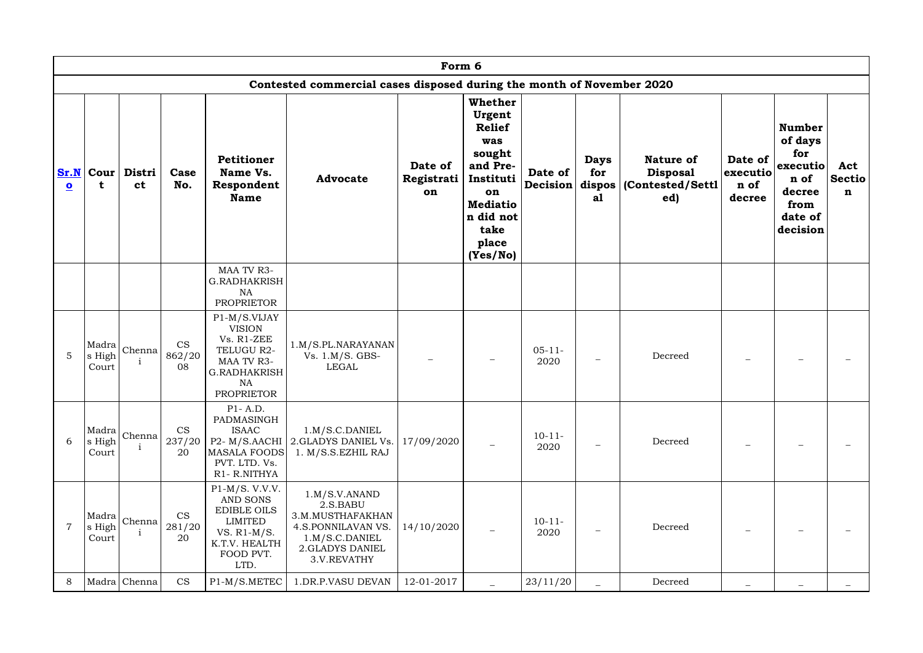|                                 | Form 6          |                                                |                           |                                                                                                                                  |                                                                                                                            |                             |                                                                                                                                                        |                     |                          |                                                                         |                                              |                                                                                              |                                     |
|---------------------------------|-----------------|------------------------------------------------|---------------------------|----------------------------------------------------------------------------------------------------------------------------------|----------------------------------------------------------------------------------------------------------------------------|-----------------------------|--------------------------------------------------------------------------------------------------------------------------------------------------------|---------------------|--------------------------|-------------------------------------------------------------------------|----------------------------------------------|----------------------------------------------------------------------------------------------|-------------------------------------|
|                                 |                 |                                                |                           |                                                                                                                                  | Contested commercial cases disposed during the month of November 2020                                                      |                             |                                                                                                                                                        |                     |                          |                                                                         |                                              |                                                                                              |                                     |
| Sr.N<br>$\overline{\mathbf{o}}$ | Cour<br>t       | Distri<br><b>ct</b>                            | Case<br>No.               | <b>Petitioner</b><br>Name Vs.<br>Respondent<br><b>Name</b>                                                                       | <b>Advocate</b>                                                                                                            | Date of<br>Registrati<br>on | <b>Whether</b><br>Urgent<br><b>Relief</b><br>was<br>sought<br>and Pre-<br>Instituti<br>on<br><b>Mediatio</b><br>n did not<br>take<br>place<br>(Yes/No) | Date of<br>Decision | <b>Days</b><br>for<br>a1 | <b>Nature of</b><br><b>Disposal</b><br>dispos   (Contested/Settl<br>ed) | Date of<br><b>executio</b><br>n of<br>decree | <b>Number</b><br>of days<br>for<br>executio<br>n of<br>decree<br>from<br>date of<br>decision | Act<br><b>Sectio</b><br>$\mathbf n$ |
|                                 |                 |                                                |                           | MAA TV R3-<br><b>G.RADHAKRISH</b><br><b>NA</b><br><b>PROPRIETOR</b>                                                              |                                                                                                                            |                             |                                                                                                                                                        |                     |                          |                                                                         |                                              |                                                                                              |                                     |
| 5                               | s High<br>Court | $ \mathrm{Madra} _{\mathrm{Chenna}} $          | <b>CS</b><br>862/20<br>08 | P1-M/S.VIJAY<br><b>VISION</b><br>Vs. R1-ZEE<br>TELUGU R2-<br>MAA TV R3-<br><b>G.RADHAKRISH</b><br><b>NA</b><br><b>PROPRIETOR</b> | 1.M/S.PL.NARAYANAN<br>Vs. 1.M/S. GBS-<br><b>LEGAL</b>                                                                      |                             |                                                                                                                                                        | $05 - 11 -$<br>2020 |                          | Decreed                                                                 |                                              |                                                                                              |                                     |
| 6                               | s High<br>Court | $\left \text{Madra}\right \text{Chenna}\left $ | <b>CS</b><br>237/20<br>20 | $P1 - A.D.$<br>PADMASINGH<br><b>ISAAC</b><br><b>MASALA FOODS</b><br>PVT. LTD. Vs.<br>R1-R.NITHYA                                 | 1.M/S.C.DANIEL<br>P2- M/S.AACHI 2.GLADYS DANIEL Vs.<br>1. M/S.S.EZHIL RAJ                                                  | 17/09/2020                  | $\qquad \qquad -$                                                                                                                                      | $10 - 11 -$<br>2020 |                          | Decreed                                                                 |                                              |                                                                                              |                                     |
| $\overline{7}$                  | s High<br>Court | $ \text{Madra} _{\text{Chenna}} $              | <b>CS</b><br>281/20<br>20 | $P1-M/S.$ V.V.V.<br>AND SONS<br><b>EDIBLE OILS</b><br><b>LIMITED</b><br>VS. $R1-M/S$ .<br>K.T.V. HEALTH<br>FOOD PVT.<br>LTD.     | $1.M/S.V.$ ANAND<br>2.S.BABU<br>3.M.MUSTHAFAKHAN<br>4.S.PONNILAVAN VS.<br>1.M/S.C.DANIEL<br>2.GLADYS DANIEL<br>3.V.REVATHY | 14/10/2020                  | $\qquad \qquad -$                                                                                                                                      | $10 - 11 -$<br>2020 |                          | Decreed                                                                 |                                              |                                                                                              |                                     |
| 8                               |                 | Madra Chenna                                   | <b>CS</b>                 | P1-M/S.METEC                                                                                                                     | 1.DR.P.VASU DEVAN                                                                                                          | 12-01-2017                  |                                                                                                                                                        | 23/11/20            |                          | Decreed                                                                 |                                              |                                                                                              |                                     |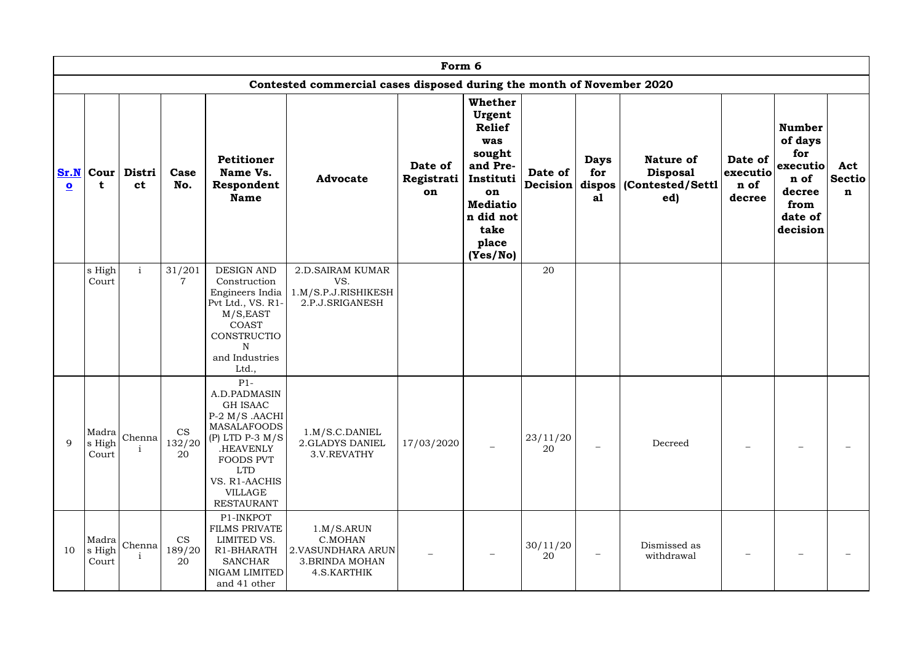|                                 | Form 6                   |                                                    |                           |                                                                                                                                                                                           |                                                                                     |                             |                                                                                                                                                        |                     |                          |                                                                           |                                       |                                                                                              |                                     |
|---------------------------------|--------------------------|----------------------------------------------------|---------------------------|-------------------------------------------------------------------------------------------------------------------------------------------------------------------------------------------|-------------------------------------------------------------------------------------|-----------------------------|--------------------------------------------------------------------------------------------------------------------------------------------------------|---------------------|--------------------------|---------------------------------------------------------------------------|---------------------------------------|----------------------------------------------------------------------------------------------|-------------------------------------|
|                                 |                          |                                                    |                           |                                                                                                                                                                                           | Contested commercial cases disposed during the month of November 2020               |                             |                                                                                                                                                        |                     |                          |                                                                           |                                       |                                                                                              |                                     |
| Sr.N<br>$\overline{\mathbf{o}}$ | $ $ Cour $ $<br>t        | Distri<br><b>ct</b>                                | Case<br>No.               | <b>Petitioner</b><br>Name Vs.<br>Respondent<br><b>Name</b>                                                                                                                                | <b>Advocate</b>                                                                     | Date of<br>Registrati<br>on | <b>Whether</b><br>Urgent<br><b>Relief</b><br>was<br>sought<br>and Pre-<br>Instituti<br>on<br><b>Mediatio</b><br>n did not<br>take<br>place<br>(Yes/No) | Date of<br>Decision | <b>Days</b><br>for<br>a1 | <b>Nature of</b><br><b>Disposal</b><br>dispos $ $ (Contested/Settl<br>ed) | Date of<br>executio<br>n of<br>decree | <b>Number</b><br>of days<br>for<br>executio<br>n of<br>decree<br>from<br>date of<br>decision | Act<br><b>Sectio</b><br>$\mathbf n$ |
|                                 | s High<br>Court          | $\mathbf{i}$                                       | 31/201                    | DESIGN AND<br>Construction<br>Engineers India<br>Pvt Ltd., VS. R1-<br>M/S, EAST<br>COAST<br>CONSTRUCTIO<br>N<br>and Industries<br>Ltd.,                                                   | <b>2.D.SAIRAM KUMAR</b><br>VS.<br>1.M/S.P.J.RISHIKESH<br>2.P.J.SRIGANESH            |                             |                                                                                                                                                        | 20                  |                          |                                                                           |                                       |                                                                                              |                                     |
| 9                               | s High<br>Court          | $ \mathtt{Madra} $ Chenna $ \atop\mathtt{Chenna} $ | <b>CS</b><br>132/20<br>20 | $P1-$<br>A.D.PADMASIN<br>GH ISAAC<br>$P-2$ M/S .AACHI<br>MASALAFOODS<br>(P) LTD P-3 $M/S$<br>.HEAVENLY<br>FOODS PVT<br><b>LTD</b><br>VS. R1-AACHIS<br><b>VILLAGE</b><br><b>RESTAURANT</b> | 1.M/S.C.DANIEL<br>2.GLADYS DANIEL<br>3.V.REVATHY                                    | 17/03/2020                  |                                                                                                                                                        | 23/11/20<br>20      |                          | Decreed                                                                   |                                       |                                                                                              |                                     |
| 10                              | Madra<br>s High<br>Court | Chenna                                             | <b>CS</b><br>189/20<br>20 | P1-INKPOT<br><b>FILMS PRIVATE</b><br>LIMITED VS.<br>R1-BHARATH<br><b>SANCHAR</b><br>NIGAM LIMITED<br>and 41 other                                                                         | 1.M/S.ARUN<br>C.MOHAN<br>2. VASUNDHARA ARUN<br><b>3.BRINDA MOHAN</b><br>4.S.KARTHIK |                             |                                                                                                                                                        | 30/11/20<br>20      |                          | Dismissed as<br>withdrawal                                                | $\qquad \qquad -$                     |                                                                                              |                                     |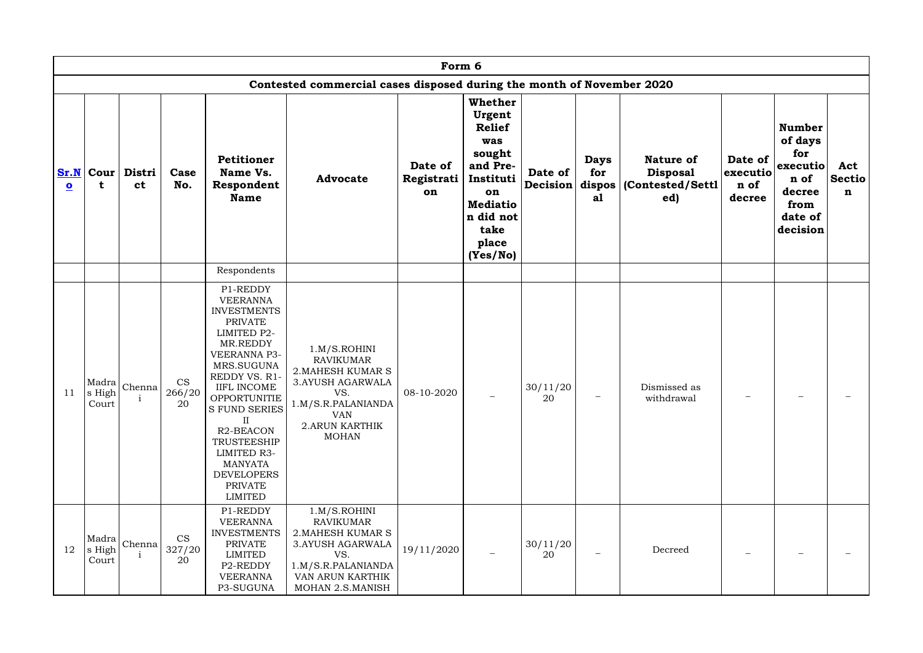|                                 | Form 6                    |                     |                           |                                                                                                                                                                                                                                                                                                                                                                   |                                                                                                                                                                      |                             |                                                                                                                                                 |                     |                                      |                                                                |                                       |                                                                                              |                                     |
|---------------------------------|---------------------------|---------------------|---------------------------|-------------------------------------------------------------------------------------------------------------------------------------------------------------------------------------------------------------------------------------------------------------------------------------------------------------------------------------------------------------------|----------------------------------------------------------------------------------------------------------------------------------------------------------------------|-----------------------------|-------------------------------------------------------------------------------------------------------------------------------------------------|---------------------|--------------------------------------|----------------------------------------------------------------|---------------------------------------|----------------------------------------------------------------------------------------------|-------------------------------------|
|                                 |                           |                     |                           |                                                                                                                                                                                                                                                                                                                                                                   | Contested commercial cases disposed during the month of November 2020                                                                                                |                             |                                                                                                                                                 |                     |                                      |                                                                |                                       |                                                                                              |                                     |
| Sr.N<br>$\overline{\mathbf{o}}$ | <b>Cour</b><br>t          | Distri<br><b>ct</b> | Case<br>No.               | Petitioner<br>Name Vs.<br>Respondent<br><b>Name</b>                                                                                                                                                                                                                                                                                                               | <b>Advocate</b>                                                                                                                                                      | Date of<br>Registrati<br>on | Whether<br>Urgent<br><b>Relief</b><br>was<br>sought<br>and Pre-<br>Instituti<br>on<br><b>Mediatio</b><br>n did not<br>take<br>place<br>(Yes/No) | Date of<br>Decision | <b>Days</b><br>for<br>dispos  <br>a1 | <b>Nature of</b><br><b>Disposal</b><br>(Contested/Settl<br>ed) | Date of<br>executio<br>n of<br>decree | <b>Number</b><br>of days<br>for<br>executio<br>n of<br>decree<br>from<br>date of<br>decision | Act<br><b>Sectio</b><br>$\mathbf n$ |
|                                 |                           |                     |                           | Respondents                                                                                                                                                                                                                                                                                                                                                       |                                                                                                                                                                      |                             |                                                                                                                                                 |                     |                                      |                                                                |                                       |                                                                                              |                                     |
| 11                              | Madra<br>s High!<br>Court | Chenna              | <b>CS</b><br>266/20<br>20 | P1-REDDY<br><b>VEERANNA</b><br><b>INVESTMENTS</b><br><b>PRIVATE</b><br><b>LIMITED P2-</b><br>MR.REDDY<br>VEERANNA P3-<br>MRS.SUGUNA<br>REDDY VS. R1-<br><b>IIFL INCOME</b><br><b>OPPORTUNITIE</b><br><b>S FUND SERIES</b><br>$\rm II$<br>R <sub>2</sub> -BEACON<br>TRUSTEESHIP<br>LIMITED R3-<br><b>MANYATA</b><br><b>DEVELOPERS</b><br><b>PRIVATE</b><br>LIMITED | 1.M/S.ROHINI<br><b>RAVIKUMAR</b><br>2. MAHESH KUMAR S<br><b>3.AYUSH AGARWALA</b><br>VS.<br>1.M/S.R.PALANIANDA<br><b>VAN</b><br><b>2.ARUN KARTHIK</b><br><b>MOHAN</b> | 08-10-2020                  | $\qquad \qquad -$                                                                                                                               | 30/11/20<br>20      |                                      | Dismissed as<br>withdrawal                                     |                                       |                                                                                              |                                     |
| 12                              | Madra<br>s High<br>Court  | Chenna              | <b>CS</b><br>327/20<br>20 | P1-REDDY<br><b>VEERANNA</b><br><b>INVESTMENTS</b><br><b>PRIVATE</b><br>LIMITED<br>P2-REDDY<br><b>VEERANNA</b><br>P3-SUGUNA                                                                                                                                                                                                                                        | 1.M/S.ROHINI<br><b>RAVIKUMAR</b><br><b>2. MAHESH KUMAR S</b><br>3. AYUSH AGARWALA<br>VS.<br>1.M/S.R.PALANIANDA<br>VAN ARUN KARTHIK<br>MOHAN 2.S.MANISH               | 19/11/2020                  | $\qquad \qquad -$                                                                                                                               | 30/11/20<br>20      |                                      | Decreed                                                        |                                       |                                                                                              |                                     |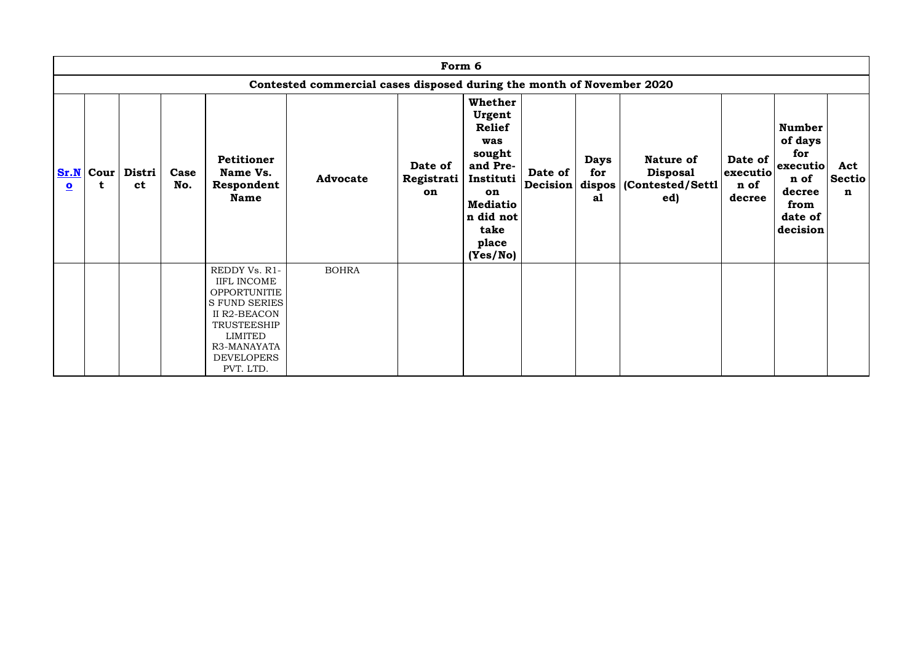|                                 | Form 6                                                                |                     |             |                                                                                                                                                                               |                 |                             |                                                                                                                                                        |                     |                          |                                                                           |                                       |                                                                                              |                                     |
|---------------------------------|-----------------------------------------------------------------------|---------------------|-------------|-------------------------------------------------------------------------------------------------------------------------------------------------------------------------------|-----------------|-----------------------------|--------------------------------------------------------------------------------------------------------------------------------------------------------|---------------------|--------------------------|---------------------------------------------------------------------------|---------------------------------------|----------------------------------------------------------------------------------------------|-------------------------------------|
|                                 | Contested commercial cases disposed during the month of November 2020 |                     |             |                                                                                                                                                                               |                 |                             |                                                                                                                                                        |                     |                          |                                                                           |                                       |                                                                                              |                                     |
| Sr.N<br>$\overline{\mathbf{o}}$ | <b>Cour</b><br>t                                                      | Distri<br><b>ct</b> | Case<br>No. | <b>Petitioner</b><br>Name Vs.<br>Respondent<br><b>Name</b>                                                                                                                    | <b>Advocate</b> | Date of<br>Registrati<br>on | <b>Whether</b><br>Urgent<br><b>Relief</b><br>was<br>sought<br>and Pre-<br>Instituti<br>on<br><b>Mediatio</b><br>n did not<br>take<br>place<br>(Yes/No) | Date of<br>Decision | <b>Days</b><br>for<br>a1 | <b>Nature of</b><br><b>Disposal</b><br>dispos $ $ (Contested/Settl<br>ed) | Date of<br>executio<br>n of<br>decree | <b>Number</b><br>of days<br>for<br>executio<br>n of<br>decree<br>from<br>date of<br>decision | Act<br><b>Sectio</b><br>$\mathbf n$ |
|                                 |                                                                       |                     |             | REDDY Vs. R1-<br><b>IIFL INCOME</b><br>OPPORTUNITIE<br><b>S FUND SERIES</b><br>II R2-BEACON<br>TRUSTEESHIP<br><b>LIMITED</b><br>R3-MANAYATA<br><b>DEVELOPERS</b><br>PVT. LTD. | <b>BOHRA</b>    |                             |                                                                                                                                                        |                     |                          |                                                                           |                                       |                                                                                              |                                     |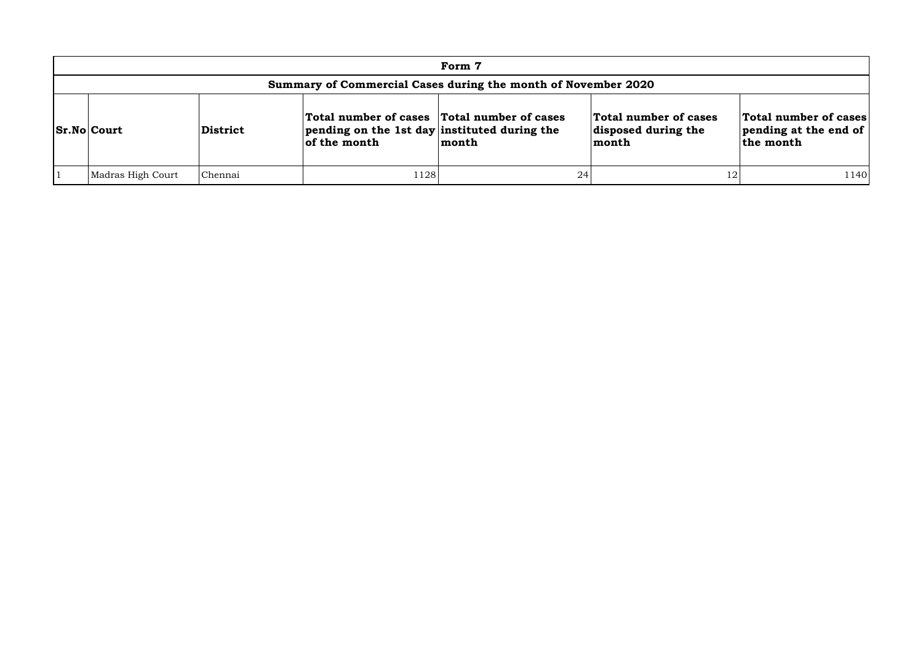| Form 7                                                        |                    |                                                                                                                                    |      |       |                                                       |                                                                     |  |  |
|---------------------------------------------------------------|--------------------|------------------------------------------------------------------------------------------------------------------------------------|------|-------|-------------------------------------------------------|---------------------------------------------------------------------|--|--|
| Summary of Commercial Cases during the month of November 2020 |                    |                                                                                                                                    |      |       |                                                       |                                                                     |  |  |
|                                                               | <b>Sr.No Court</b> | Total number of cases Total number of cases<br>$ $ pending on the 1st day instituted during the<br><b>District</b><br>of the month |      | month | Total number of cases<br>disposed during the<br>month | Total number of cases<br>$ $ pending at the end of $ $<br>the month |  |  |
|                                                               | Madras High Court  | Chennai                                                                                                                            | 1128 | 24    | 12                                                    | 1140                                                                |  |  |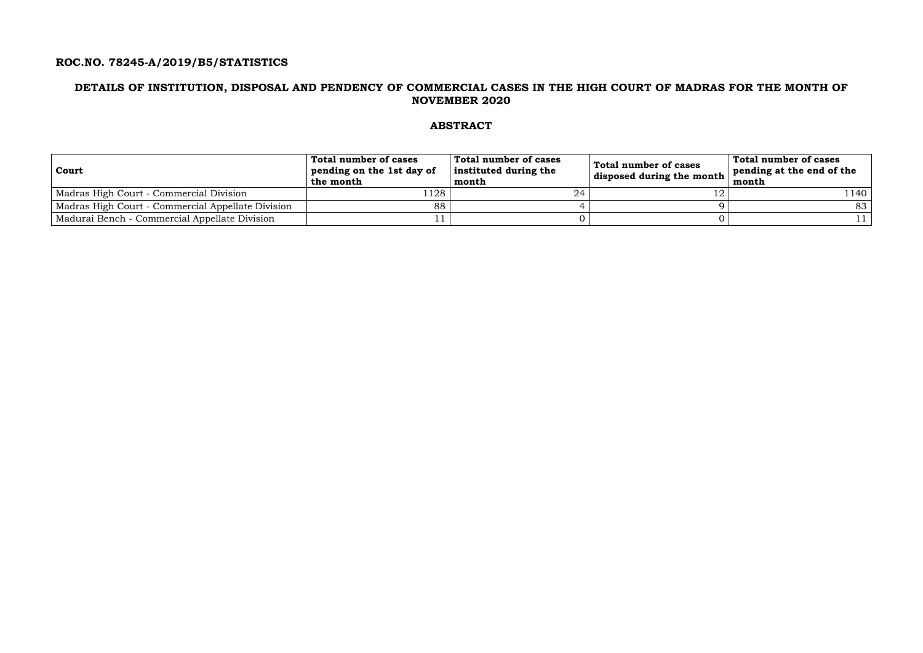## **ROC.NO. 78245-A/2019/B5/STATISTICS**

### **DETAILS OF INSTITUTION, DISPOSAL AND PENDENCY OF COMMERCIAL CASES IN THE HIGH COURT OF MADRAS FOR THE MONTH OF NOVEMBER 2020**

## **ABSTRACT**

| <b>Court</b>                                      | Total number of cases<br>pending on the 1st day of<br>the month | Total number of cases<br>instituted during the<br>month | Total number of cases<br>disposed during the month | Total number of cases<br>pending at the end of the<br>month |
|---------------------------------------------------|-----------------------------------------------------------------|---------------------------------------------------------|----------------------------------------------------|-------------------------------------------------------------|
| Madras High Court - Commercial Division           | 128                                                             | 24                                                      |                                                    | 1140                                                        |
| Madras High Court - Commercial Appellate Division | 88                                                              |                                                         |                                                    | 83                                                          |
| Madurai Bench - Commercial Appellate Division     |                                                                 |                                                         |                                                    |                                                             |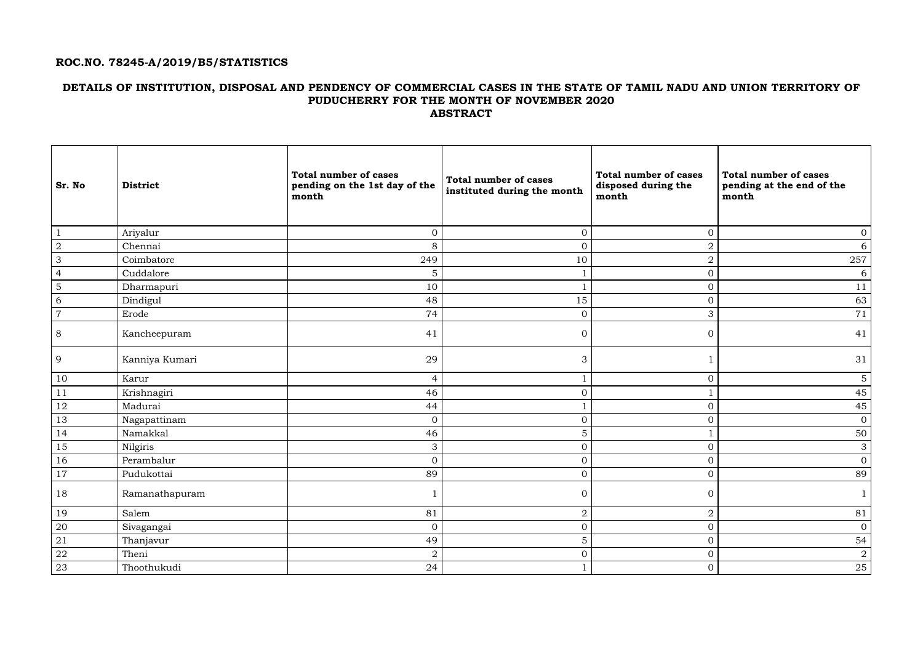## **ROC.NO. 78245-A/2019/B5/STATISTICS**

### **DETAILS OF INSTITUTION, DISPOSAL AND PENDENCY OF COMMERCIAL CASES IN THE STATE OF TAMIL NADU AND UNION TERRITORY OF PUDUCHERRY FOR THE MONTH OF NOVEMBER 2020 ABSTRACT**

| <b>Sr. No</b>  | <b>District</b> | <b>Total number of cases</b><br>pending on the 1st day of the<br>month | <b>Total number of cases</b><br>instituted during the month | <b>Total number of cases</b><br>disposed during the<br>month | <b>Total number of cases</b><br>pending at the end of the<br>month |
|----------------|-----------------|------------------------------------------------------------------------|-------------------------------------------------------------|--------------------------------------------------------------|--------------------------------------------------------------------|
| $\mathbf{1}$   | Ariyalur        | $\overline{0}$                                                         | $\overline{0}$                                              | $\overline{0}$                                               | $\boldsymbol{0}$                                                   |
| $\overline{2}$ | Chennai         | 8                                                                      | $\boldsymbol{0}$                                            | $\sqrt{2}$                                                   | 6                                                                  |
| $\mathbf{3}$   | Coimbatore      | 249                                                                    | 10                                                          | $\sqrt{2}$                                                   | 257                                                                |
| $\overline{4}$ | Cuddalore       | 5                                                                      |                                                             | $\mathbf{0}$                                                 | 6                                                                  |
| $\overline{5}$ | Dharmapuri      | 10                                                                     |                                                             | $\mathbf{0}$                                                 | 11                                                                 |
| $\overline{6}$ | Dindigul        | 48                                                                     | 15                                                          | $\mathbf{0}$                                                 | 63                                                                 |
| $\overline{7}$ | Erode           | 74                                                                     | $\mathbf{0}$                                                | $\mathfrak{Z}$                                               | 71                                                                 |
| 8              | Kancheepuram    | 41                                                                     | $\overline{0}$                                              | $\overline{0}$                                               | 41                                                                 |
| 9              | Kanniya Kumari  | 29                                                                     | 3                                                           |                                                              | 31                                                                 |
| $10\,$         | Karur           | $\overline{4}$                                                         | $\mathbf{1}$                                                | $\overline{0}$                                               | 5 <sup>5</sup>                                                     |
| 11             | Krishnagiri     | 46                                                                     | $\mathbf 0$                                                 |                                                              | 45                                                                 |
| 12             | Madurai         | 44                                                                     | $\mathbf{1}$                                                | $\overline{0}$                                               | 45                                                                 |
| $13\,$         | Nagapattinam    | $\overline{0}$                                                         | $\overline{0}$                                              | $\overline{O}$                                               | $\overline{0}$                                                     |
| 14             | Namakkal        | 46                                                                     | $\mathbf 5$                                                 |                                                              | 50                                                                 |
| 15             | Nilgiris        | $\mathfrak{Z}$                                                         | $\boldsymbol{0}$                                            | $\overline{O}$                                               | $\mathfrak{S}$                                                     |
| 16             | Perambalur      | $\overline{0}$                                                         | $\boldsymbol{0}$                                            | $\overline{0}$                                               | $\overline{0}$                                                     |
| 17             | Pudukottai      | 89                                                                     | $\mathbf{0}$                                                | $\overline{0}$                                               | 89                                                                 |
| 18             | Ramanathapuram  | $\mathbf 1$                                                            | $\overline{O}$                                              | $\overline{0}$                                               | $\mathbf{1}$                                                       |
| 19             | Salem           | 81                                                                     | $\sqrt{2}$                                                  | $\sqrt{2}$                                                   | 81                                                                 |
| 20             | Sivagangai      | $\overline{0}$                                                         | $\boldsymbol{0}$                                            | $\overline{0}$                                               | $\overline{0}$                                                     |
| 21             | Thanjavur       | 49                                                                     | $\mathbf 5$                                                 | $\overline{0}$                                               | 54                                                                 |
| $22\,$         | Theni           | $\overline{2}$                                                         | $\boldsymbol{0}$                                            | $\overline{0}$                                               | $\overline{a}$                                                     |
| 23             | Thoothukudi     | 24                                                                     | $\mathbf{1}$                                                | $\overline{0}$                                               | 25                                                                 |